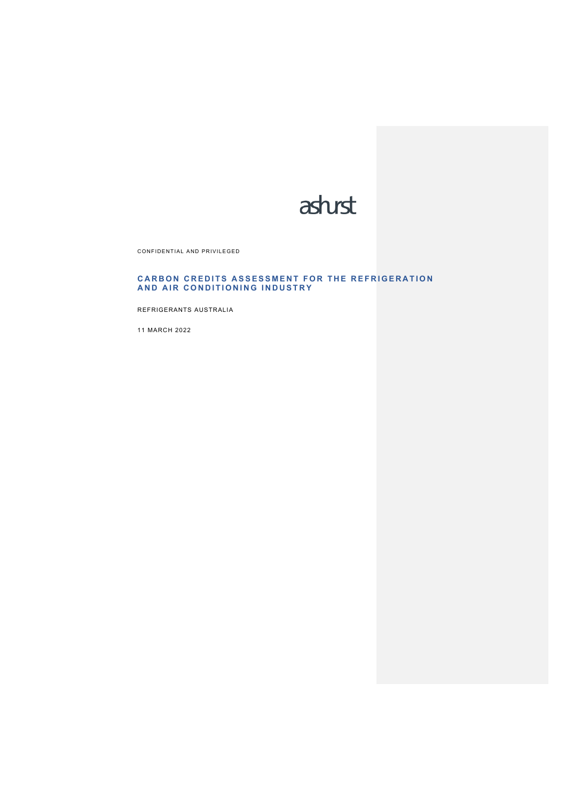

CONFIDENTIAL AND PRIVILEGED

### **CARBON CREDITS ASSESSMENT FOR THE REFRIGERATION AND AIR CONDITIONING INDUSTRY**

REFRIGERANTS AUSTRALIA

11 MARCH 2022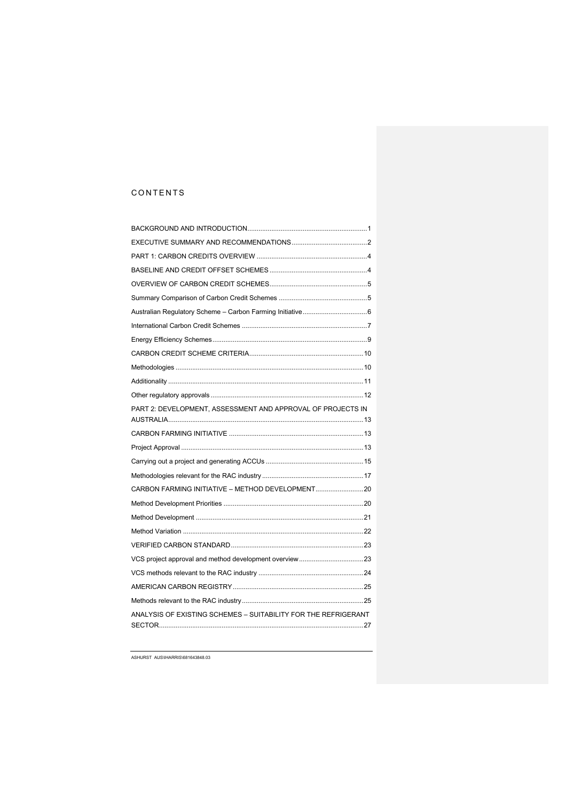# CONTENTS

| PART 2: DEVELOPMENT, ASSESSMENT AND APPROVAL OF PROJECTS IN    |  |
|----------------------------------------------------------------|--|
|                                                                |  |
|                                                                |  |
|                                                                |  |
|                                                                |  |
| CARBON FARMING INITIATIVE - METHOD DEVELOPMENT20               |  |
|                                                                |  |
|                                                                |  |
|                                                                |  |
|                                                                |  |
| VCS project approval and method development overview23         |  |
|                                                                |  |
|                                                                |  |
|                                                                |  |
| ANALYSIS OF EXISTING SCHEMES - SUITABILITY FOR THE REFRIGERANT |  |
|                                                                |  |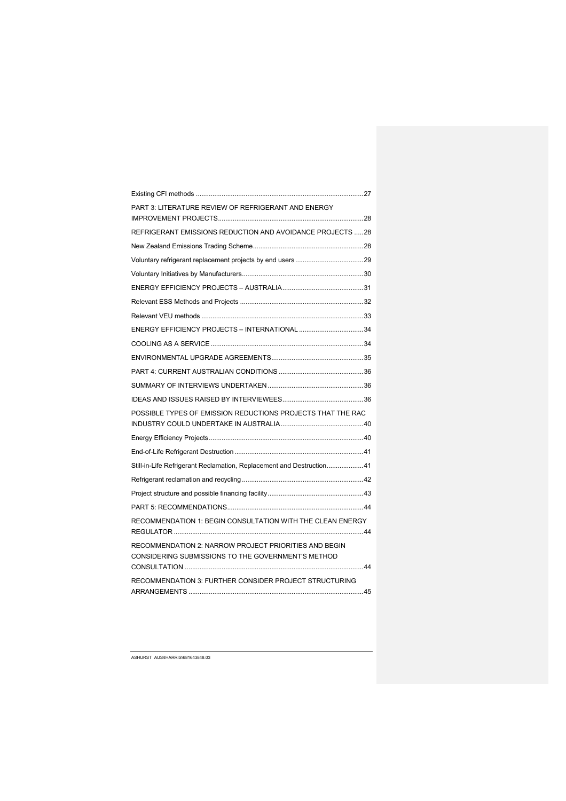| PART 3: LITERATURE REVIEW OF REFRIGERANT AND ENERGY                                                         |  |
|-------------------------------------------------------------------------------------------------------------|--|
| REFRIGERANT EMISSIONS REDUCTION AND AVOIDANCE PROJECTS 28                                                   |  |
|                                                                                                             |  |
|                                                                                                             |  |
|                                                                                                             |  |
|                                                                                                             |  |
|                                                                                                             |  |
|                                                                                                             |  |
| ENERGY EFFICIENCY PROJECTS - INTERNATIONAL 34                                                               |  |
|                                                                                                             |  |
|                                                                                                             |  |
|                                                                                                             |  |
|                                                                                                             |  |
|                                                                                                             |  |
| POSSIBLE TYPES OF EMISSION REDUCTIONS PROJECTS THAT THE RAC                                                 |  |
|                                                                                                             |  |
|                                                                                                             |  |
| Still-in-Life Refrigerant Reclamation, Replacement and Destruction 41                                       |  |
|                                                                                                             |  |
|                                                                                                             |  |
|                                                                                                             |  |
| RECOMMENDATION 1: BEGIN CONSULTATION WITH THE CLEAN ENERGY                                                  |  |
| RECOMMENDATION 2: NARROW PROJECT PRIORITIES AND BEGIN<br>CONSIDERING SUBMISSIONS TO THE GOVERNMENT'S METHOD |  |
| RECOMMENDATION 3: FURTHER CONSIDER PROJECT STRUCTURING                                                      |  |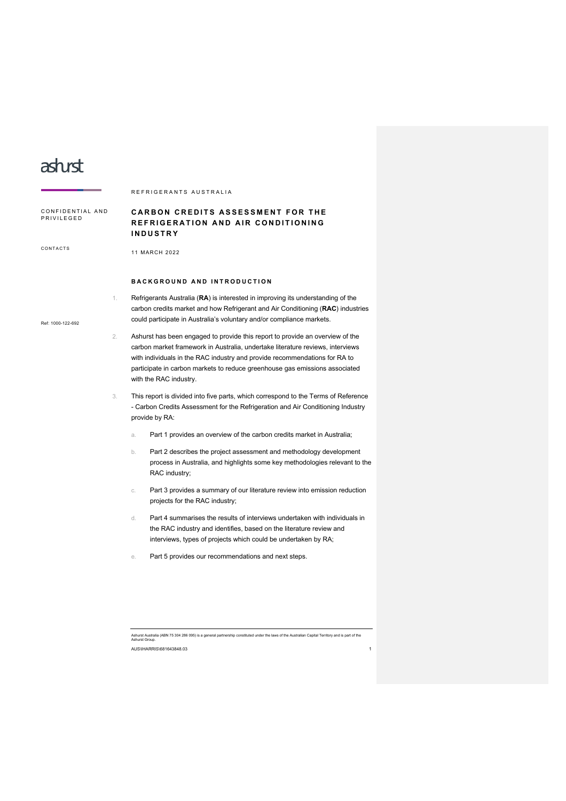# asturst

|                                |    | REFRIGERANTS AUSTRALIA                                                                                                                                                                                                                                                                                                                                 |  |
|--------------------------------|----|--------------------------------------------------------------------------------------------------------------------------------------------------------------------------------------------------------------------------------------------------------------------------------------------------------------------------------------------------------|--|
| CONFIDENTIAL AND<br>PRIVILEGED |    | <b>CARBON CREDITS ASSESSMENT FOR THE</b><br>REFRIGERATION AND AIR CONDITIONING<br><b>INDUSTRY</b>                                                                                                                                                                                                                                                      |  |
| CONTACTS                       |    | 11 MARCH 2022                                                                                                                                                                                                                                                                                                                                          |  |
|                                |    | BACKGROUND AND INTRODUCTION                                                                                                                                                                                                                                                                                                                            |  |
| Ref: 1000-122-692              | 1. | Refrigerants Australia (RA) is interested in improving its understanding of the<br>carbon credits market and how Refrigerant and Air Conditioning (RAC) industries<br>could participate in Australia's voluntary and/or compliance markets.                                                                                                            |  |
| 2.                             |    | Ashurst has been engaged to provide this report to provide an overview of the<br>carbon market framework in Australia, undertake literature reviews, interviews<br>with individuals in the RAC industry and provide recommendations for RA to<br>participate in carbon markets to reduce greenhouse gas emissions associated<br>with the RAC industry. |  |
|                                | 3. | This report is divided into five parts, which correspond to the Terms of Reference<br>- Carbon Credits Assessment for the Refrigeration and Air Conditioning Industry<br>provide by RA:                                                                                                                                                                |  |
|                                |    | Part 1 provides an overview of the carbon credits market in Australia;<br>a.                                                                                                                                                                                                                                                                           |  |
|                                |    | Part 2 describes the project assessment and methodology development<br>b.<br>process in Australia, and highlights some key methodologies relevant to the<br>RAC industry;                                                                                                                                                                              |  |
|                                |    | Part 3 provides a summary of our literature review into emission reduction<br>C.<br>projects for the RAC industry;                                                                                                                                                                                                                                     |  |
|                                |    | Part 4 summarises the results of interviews undertaken with individuals in<br>d.<br>the RAC industry and identifies, based on the literature review and                                                                                                                                                                                                |  |

- interviews, types of projects which could be undertaken by RA;
- e. Part 5 provides our recommendations and next steps.

Ashurst Australia (ABN 75 304 286 095) is a general partnership constituted under the laws of the Australian Capital Territory and is part of the Ashurst Group. AUS\IHARRIS\681643848.03 1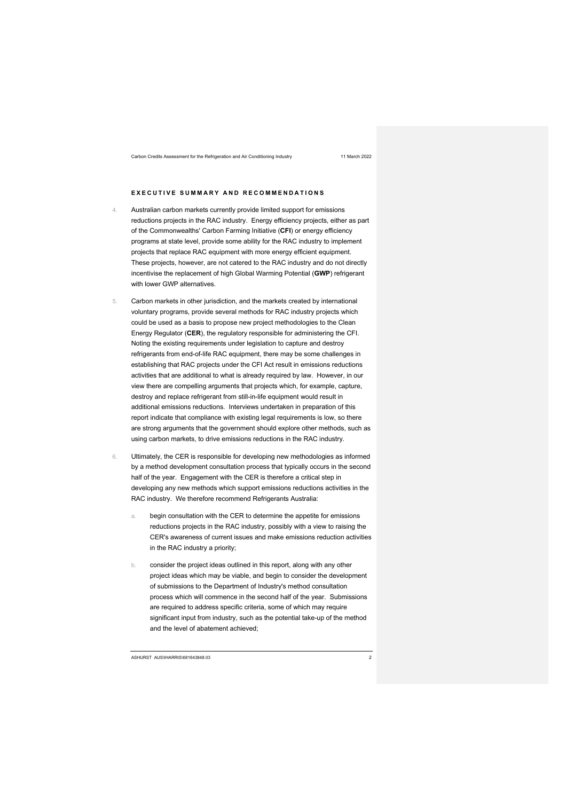### **EXECUTIVE SUMMARY AND RECOMMENDATIONS**

- 4. Australian carbon markets currently provide limited support for emissions reductions projects in the RAC industry. Energy efficiency projects, either as part of the Commonwealths' Carbon Farming Initiative (**CFI**) or energy efficiency programs at state level, provide some ability for the RAC industry to implement projects that replace RAC equipment with more energy efficient equipment. These projects, however, are not catered to the RAC industry and do not directly incentivise the replacement of high Global Warming Potential (**GWP**) refrigerant with lower GWP alternatives.
- 5. Carbon markets in other jurisdiction, and the markets created by international voluntary programs, provide several methods for RAC industry projects which could be used as a basis to propose new project methodologies to the Clean Energy Regulator (**CER**), the regulatory responsible for administering the CFI. Noting the existing requirements under legislation to capture and destroy refrigerants from end-of-life RAC equipment, there may be some challenges in establishing that RAC projects under the CFI Act result in emissions reductions activities that are additional to what is already required by law. However, in our view there are compelling arguments that projects which, for example, capture, destroy and replace refrigerant from still-in-life equipment would result in additional emissions reductions. Interviews undertaken in preparation of this report indicate that compliance with existing legal requirements is low, so there are strong arguments that the government should explore other methods, such as using carbon markets, to drive emissions reductions in the RAC industry.
- 6. Ultimately, the CER is responsible for developing new methodologies as informed by a method development consultation process that typically occurs in the second half of the year. Engagement with the CER is therefore a critical step in developing any new methods which support emissions reductions activities in the RAC industry. We therefore recommend Refrigerants Australia:
	- a. begin consultation with the CER to determine the appetite for emissions reductions projects in the RAC industry, possibly with a view to raising the CER's awareness of current issues and make emissions reduction activities in the RAC industry a priority;
	- b. consider the project ideas outlined in this report, along with any other project ideas which may be viable, and begin to consider the development of submissions to the Department of Industry's method consultation process which will commence in the second half of the year. Submissions are required to address specific criteria, some of which may require significant input from industry, such as the potential take-up of the method and the level of abatement achieved;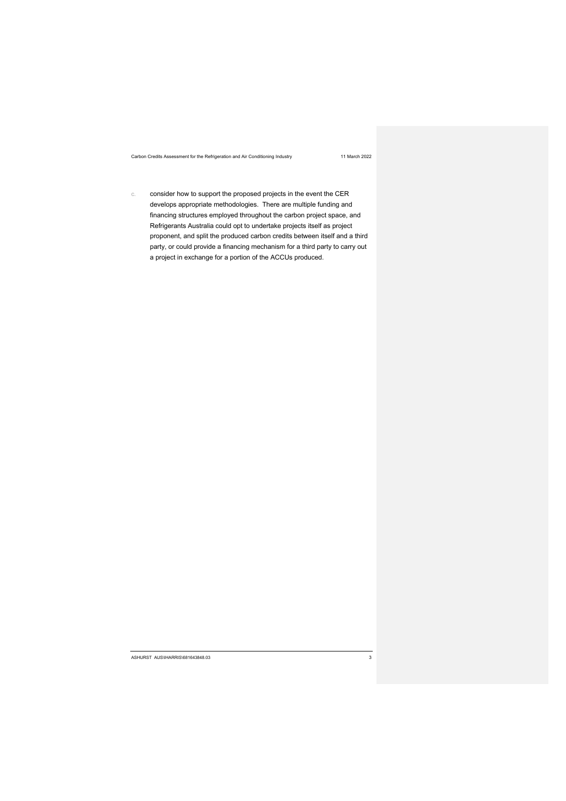c. consider how to support the proposed projects in the event the CER develops appropriate methodologies. There are multiple funding and financing structures employed throughout the carbon project space, and Refrigerants Australia could opt to undertake projects itself as project proponent, and split the produced carbon credits between itself and a third party, or could provide a financing mechanism for a third party to carry out a project in exchange for a portion of the ACCUs produced.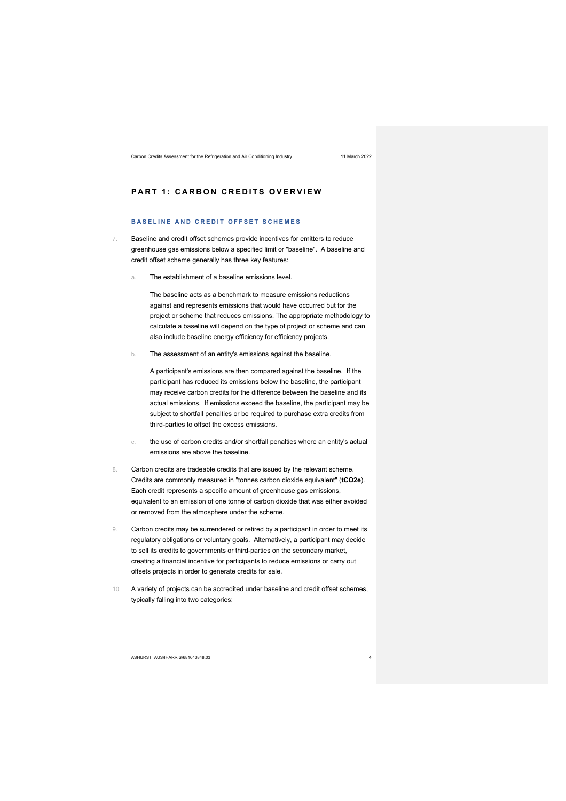# **PART 1: CARBON CREDITS OVERVIEW**

### **BASELINE AND CREDIT OFFSET SCHEMES**

- 7. Baseline and credit offset schemes provide incentives for emitters to reduce greenhouse gas emissions below a specified limit or "baseline". A baseline and credit offset scheme generally has three key features:
	- The establishment of a baseline emissions level.

The baseline acts as a benchmark to measure emissions reductions against and represents emissions that would have occurred but for the project or scheme that reduces emissions. The appropriate methodology to calculate a baseline will depend on the type of project or scheme and can also include baseline energy efficiency for efficiency projects.

b. The assessment of an entity's emissions against the baseline.

A participant's emissions are then compared against the baseline. If the participant has reduced its emissions below the baseline, the participant may receive carbon credits for the difference between the baseline and its actual emissions. If emissions exceed the baseline, the participant may be subject to shortfall penalties or be required to purchase extra credits from third-parties to offset the excess emissions.

- c. the use of carbon credits and/or shortfall penalties where an entity's actual emissions are above the baseline.
- 8. Carbon credits are tradeable credits that are issued by the relevant scheme. Credits are commonly measured in "tonnes carbon dioxide equivalent" (**tCO2e**). Each credit represents a specific amount of greenhouse gas emissions, equivalent to an emission of one tonne of carbon dioxide that was either avoided or removed from the atmosphere under the scheme.
- 9. Carbon credits may be surrendered or retired by a participant in order to meet its regulatory obligations or voluntary goals. Alternatively, a participant may decide to sell its credits to governments or third-parties on the secondary market, creating a financial incentive for participants to reduce emissions or carry out offsets projects in order to generate credits for sale.
- 10. A variety of projects can be accredited under baseline and credit offset schemes, typically falling into two categories:

ASHURST AUS\IHARRIS\681643848.03 4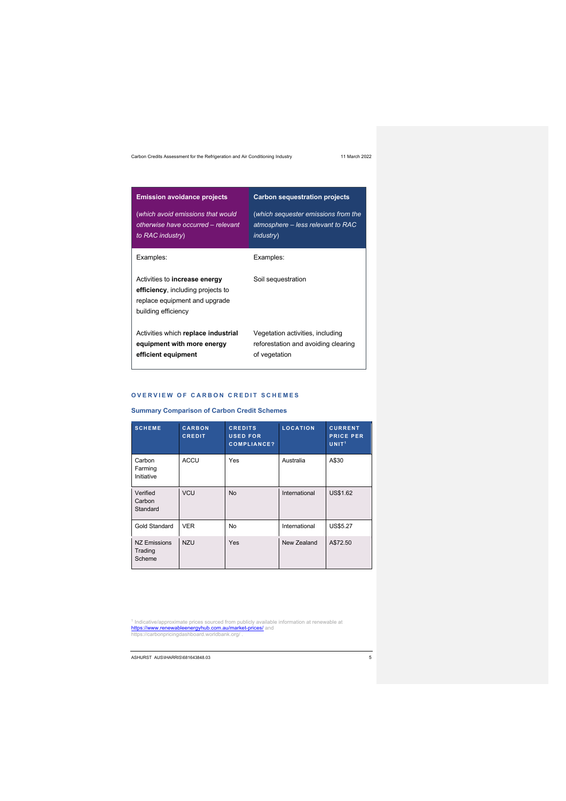| <b>Emission avoidance projects</b>                                                                                                | <b>Carbon sequestration projects</b>                                                          |
|-----------------------------------------------------------------------------------------------------------------------------------|-----------------------------------------------------------------------------------------------|
| (which avoid emissions that would<br>otherwise have occurred - relevant<br>to RAC industry)                                       | (which sequester emissions from the<br>atmosphere - less relevant to RAC<br><i>industry</i> ) |
| Examples:                                                                                                                         | Examples:                                                                                     |
| Activities to <b>increase energy</b><br>efficiency, including projects to<br>replace equipment and upgrade<br>building efficiency | Soil sequestration                                                                            |
| Activities which replace industrial<br>equipment with more energy<br>efficient equipment                                          | Vegetation activities, including<br>reforestation and avoiding clearing<br>of vegetation      |

### **OVERVIEW OF CARBON CREDIT SCHEMES**

**Summary Comparison of Carbon Credit Schemes**

| <b>SCHEME</b>                            | <b>CARBON</b><br><b>CREDIT</b> | <b>CREDITS</b><br><b>USED FOR</b><br><b>COMPLIANCE?</b> | <b>LOCATION</b> | <b>CURRENT</b><br><b>PRICE PER</b><br>UNIT <sup>1</sup> |
|------------------------------------------|--------------------------------|---------------------------------------------------------|-----------------|---------------------------------------------------------|
| Carbon<br>Farming<br>Initiative          | <b>ACCU</b>                    | Yes                                                     | Australia       | A\$30                                                   |
| Verified<br>Carbon<br>Standard           | <b>VCU</b>                     | <b>No</b>                                               | International   | <b>US\$1.62</b>                                         |
| <b>Gold Standard</b>                     | <b>VER</b>                     | No                                                      | International   | US\$5.27                                                |
| <b>NZ Emissions</b><br>Trading<br>Scheme | <b>NZU</b>                     | Yes                                                     | New Zealand     | A\$72.50                                                |

<sup>1</sup> Indicative/approximate prices sourced from publicly available information at renewable at<br><mark>https://www.renewableenergyhub.com.au/market-prices/</mark> and<br>https://carbonpricingdashboard.worldbank.org/ .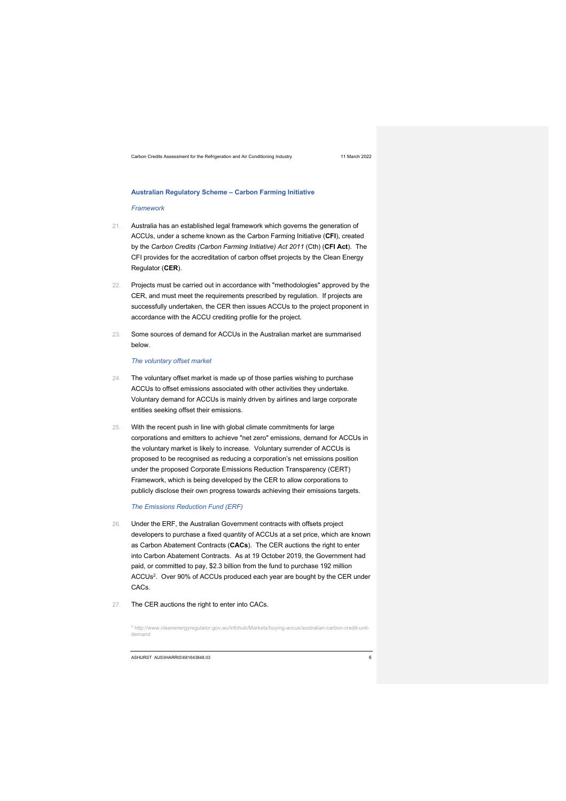### **Australian Regulatory Scheme – Carbon Farming Initiative**

### *Framework*

- 21. Australia has an established legal framework which governs the generation of ACCUs, under a scheme known as the Carbon Farming Initiative (**CFI**), created by the *Carbon Credits (Carbon Farming Initiative) Act 2011* (Cth) (**CFI Act**). The CFI provides for the accreditation of carbon offset projects by the Clean Energy Regulator (**CER**).
- 22. Projects must be carried out in accordance with "methodologies" approved by the CER, and must meet the requirements prescribed by regulation. If projects are successfully undertaken, the CER then issues ACCUs to the project proponent in accordance with the ACCU crediting profile for the project.
- 23. Some sources of demand for ACCUs in the Australian market are summarised below.

### *The voluntary offset market*

- 24. The voluntary offset market is made up of those parties wishing to purchase ACCUs to offset emissions associated with other activities they undertake. Voluntary demand for ACCUs is mainly driven by airlines and large corporate entities seeking offset their emissions.
- 25. With the recent push in line with global climate commitments for large corporations and emitters to achieve "net zero" emissions, demand for ACCUs in the voluntary market is likely to increase. Voluntary surrender of ACCUs is proposed to be recognised as reducing a corporation's net emissions position under the proposed Corporate Emissions Reduction Transparency (CERT) Framework, which is being developed by the CER to allow corporations to publicly disclose their own progress towards achieving their emissions targets.

### *The Emissions Reduction Fund (ERF)*

- 26. Under the ERF, the Australian Government contracts with offsets project developers to purchase a fixed quantity of ACCUs at a set price, which are known as Carbon Abatement Contracts (**CACs**). The CER auctions the right to enter into Carbon Abatement Contracts. As at 19 October 2019, the Government had paid, or committed to pay, \$2.3 billion from the fund to purchase 192 million ACCUs<sup>2</sup>. Over 90% of ACCUs produced each year are bought by the CER under CACs.
- 27. The CER auctions the right to enter into CACs.

<sup>2</sup> http://www.cleanenergyregulator.gov.au/Infohub/Markets/buying-accus/australian-carbon-credit-unitdemand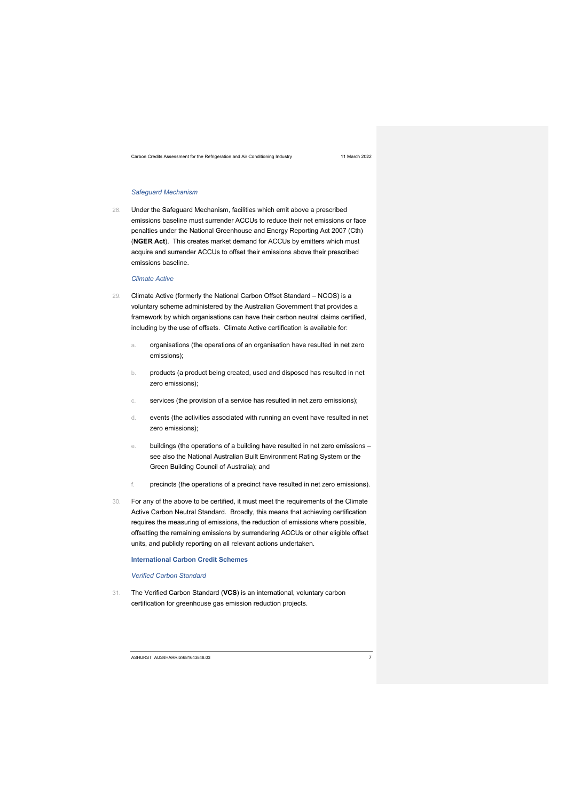### *Safeguard Mechanism*

28. Under the Safeguard Mechanism, facilities which emit above a prescribed emissions baseline must surrender ACCUs to reduce their net emissions or face penalties under the National Greenhouse and Energy Reporting Act 2007 (Cth) (**NGER Act**). This creates market demand for ACCUs by emitters which must acquire and surrender ACCUs to offset their emissions above their prescribed emissions baseline.

### *Climate Active*

- 29. Climate Active (formerly the National Carbon Offset Standard NCOS) is a voluntary scheme administered by the Australian Government that provides a framework by which organisations can have their carbon neutral claims certified, including by the use of offsets. Climate Active certification is available for:
	- a. organisations (the operations of an organisation have resulted in net zero emissions);
	- b. products (a product being created, used and disposed has resulted in net zero emissions);
	- c. services (the provision of a service has resulted in net zero emissions);
	- d. events (the activities associated with running an event have resulted in net zero emissions);
	- e. buildings (the operations of a building have resulted in net zero emissions see also the National Australian Built Environment Rating System or the Green Building Council of Australia); and
	- f. precincts (the operations of a precinct have resulted in net zero emissions).
- 30. For any of the above to be certified, it must meet the requirements of the Climate Active Carbon Neutral Standard. Broadly, this means that achieving certification requires the measuring of emissions, the reduction of emissions where possible, offsetting the remaining emissions by surrendering ACCUs or other eligible offset units, and publicly reporting on all relevant actions undertaken.

**International Carbon Credit Schemes**

*Verified Carbon Standard*

31. The Verified Carbon Standard (**VCS**) is an international, voluntary carbon certification for greenhouse gas emission reduction projects.

ASHURST AUS\IHARRIS\681643848.03 7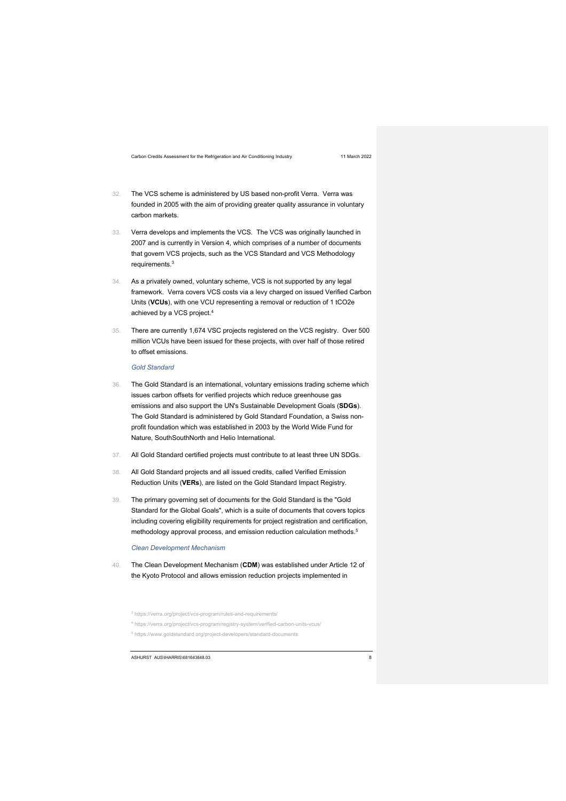- 32. The VCS scheme is administered by US based non-profit Verra. Verra was founded in 2005 with the aim of providing greater quality assurance in voluntary carbon markets.
- 33. Verra develops and implements the VCS. The VCS was originally launched in 2007 and is currently in Version 4, which comprises of a number of documents that govern VCS projects, such as the VCS Standard and VCS Methodology requirements. 3
- 34. As a privately owned, voluntary scheme, VCS is not supported by any legal framework. Verra covers VCS costs via a levy charged on issued Verified Carbon Units (**VCUs**), with one VCU representing a removal or reduction of 1 tCO2e achieved by a VCS project.4
- 35. There are currently 1,674 VSC projects registered on the VCS registry. Over 500 million VCUs have been issued for these projects, with over half of those retired to offset emissions.

*Gold Standard*

- 36. The Gold Standard is an international, voluntary emissions trading scheme which issues carbon offsets for verified projects which reduce greenhouse gas emissions and also support the UN's Sustainable Development Goals (**SDGs**). The Gold Standard is administered by Gold Standard Foundation, a Swiss nonprofit foundation which was established in 2003 by the World Wide Fund for Nature, SouthSouthNorth and Helio International.
- 37. All Gold Standard certified projects must contribute to at least three UN SDGs.
- 38. All Gold Standard projects and all issued credits, called Verified Emission Reduction Units (**VERs**), are listed on the Gold Standard Impact Registry.
- 39. The primary governing set of documents for the Gold Standard is the "Gold Standard for the Global Goals", which is a suite of documents that covers topics including covering eligibility requirements for project registration and certification, methodology approval process, and emission reduction calculation methods.<sup>5</sup>

*Clean Development Mechanism* 

40. The Clean Development Mechanism (**CDM**) was established under Article 12 of the Kyoto Protocol and allows emission reduction projects implemented in

- <sup>4</sup> https://verra.org/project/vcs-program/registry-system/verified-carbon-units-vcus/
- <sup>5</sup> https://www.goldstandard.org/project-developers/standard-documents

<sup>3</sup> https://verra.org/project/vcs-program/rules-and-requirements/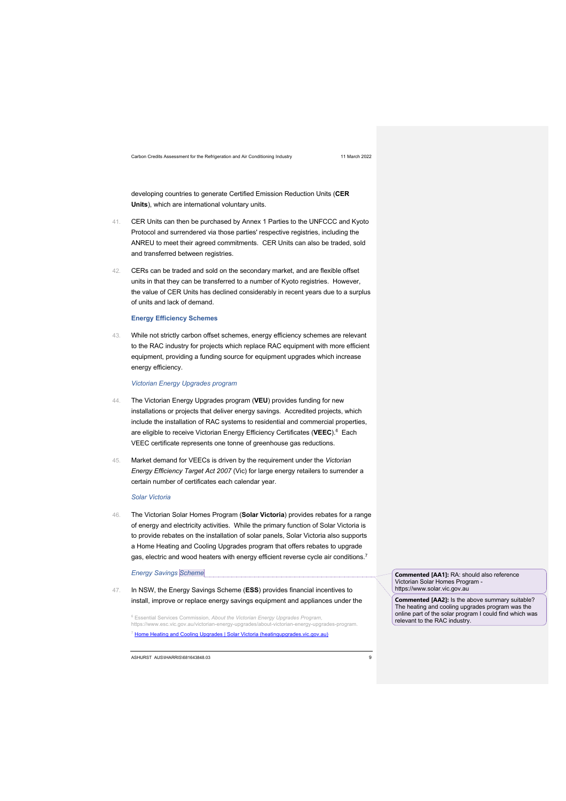developing countries to generate Certified Emission Reduction Units (**CER Units**), which are international voluntary units.

- 41. CER Units can then be purchased by Annex 1 Parties to the UNFCCC and Kyoto Protocol and surrendered via those parties' respective registries, including the ANREU to meet their agreed commitments. CER Units can also be traded, sold and transferred between registries.
- 42. CERs can be traded and sold on the secondary market, and are flexible offset units in that they can be transferred to a number of Kyoto registries. However, the value of CER Units has declined considerably in recent years due to a surplus of units and lack of demand.

### **Energy Efficiency Schemes**

43. While not strictly carbon offset schemes, energy efficiency schemes are relevant to the RAC industry for projects which replace RAC equipment with more efficient equipment, providing a funding source for equipment upgrades which increase energy efficiency.

### *Victorian Energy Upgrades program*

- 44. The Victorian Energy Upgrades program (**VEU**) provides funding for new installations or projects that deliver energy savings. Accredited projects, which include the installation of RAC systems to residential and commercial properties, are eligible to receive Victorian Energy Efficiency Certificates (**VEEC**).6 Each VEEC certificate represents one tonne of greenhouse gas reductions.
- 45. Market demand for VEECs is driven by the requirement under the *Victorian Energy Efficiency Target Act 2007* (Vic) for large energy retailers to surrender a certain number of certificates each calendar year.

### *Solar Victoria*

46. The Victorian Solar Homes Program (**Solar Victoria**) provides rebates for a range of energy and electricity activities. While the primary function of Solar Victoria is to provide rebates on the installation of solar panels, Solar Victoria also supports a Home Heating and Cooling Upgrades program that offers rebates to upgrade gas, electric and wood heaters with energy efficient reverse cycle air conditions.<sup>7</sup>

### *Energy Savings Scheme*

47. In NSW, the Energy Savings Scheme (**ESS**) provides financial incentives to install, improve or replace energy savings equipment and appliances under the

<sup>6</sup> Essential Services Commission, *About the Victorian Energy Upgrades Program*, https://www.esc.vic.gov.au/victorian-energy-upgrades/about-<sup>7</sup> Home Heating and Cooling Upgrades | Solar Victoria (heatingupgrades.vic.gov.au)

ASHURST AUS\IHARRIS\681643848.03 9

**Commented [AA1]:** RA: should also reference Victorian Solar Homes Program https://www.solar.vic.gov.au

**Commented [AA2]:** Is the above summary suitable? The heating and cooling upgrades program was the online part of the solar program I could find which was relevant to the RAC industry.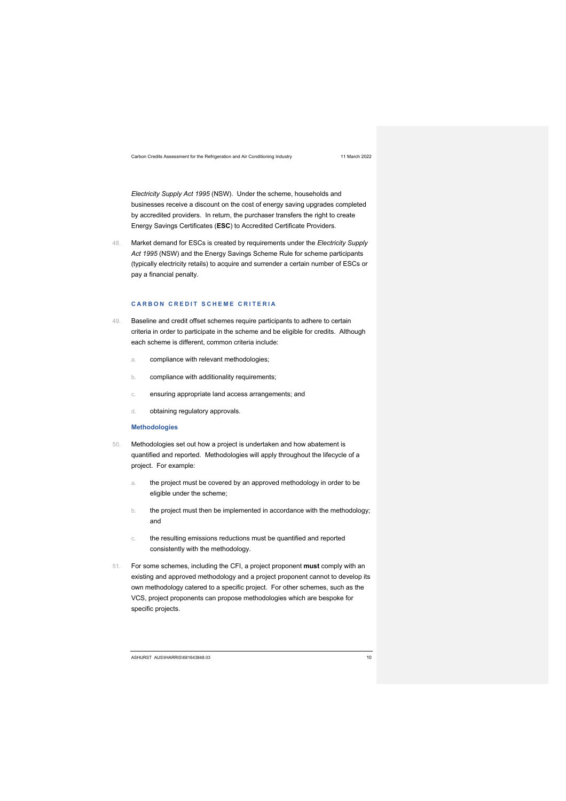*Electricity Supply Act 1995* (NSW). Under the scheme, households and businesses receive a discount on the cost of energy saving upgrades completed by accredited providers. In return, the purchaser transfers the right to create Energy Savings Certificates (**ESC**) to Accredited Certificate Providers.

48. Market demand for ESCs is created by requirements under the *Electricity Supply Act 1995* (NSW) and the Energy Savings Scheme Rule for scheme participants (typically electricity retails) to acquire and surrender a certain number of ESCs or pay a financial penalty.

### **CARBON CREDIT SCHEME CRITERIA**

- 49. Baseline and credit offset schemes require participants to adhere to certain criteria in order to participate in the scheme and be eligible for credits. Although each scheme is different, common criteria include:
	- a. compliance with relevant methodologies;
	- b. compliance with additionality requirements;
	- c. ensuring appropriate land access arrangements; and
	- d. obtaining regulatory approvals.

### **Methodologies**

- 50. Methodologies set out how a project is undertaken and how abatement is quantified and reported. Methodologies will apply throughout the lifecycle of a project. For example:
	- a. the project must be covered by an approved methodology in order to be eligible under the scheme;
	- b. the project must then be implemented in accordance with the methodology; and
	- c. the resulting emissions reductions must be quantified and reported consistently with the methodology.
- 51. For some schemes, including the CFI, a project proponent **must** comply with an existing and approved methodology and a project proponent cannot to develop its own methodology catered to a specific project. For other schemes, such as the VCS, project proponents can propose methodologies which are bespoke for specific projects.

ASHURST AUS\IHARRIS\681643848.03 10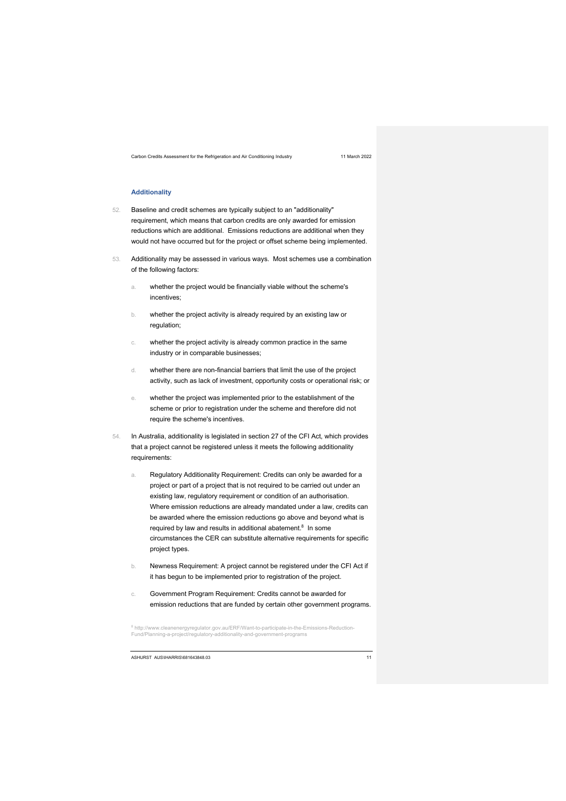### **Additionality**

- 52. Baseline and credit schemes are typically subject to an "additionality" requirement, which means that carbon credits are only awarded for emission reductions which are additional. Emissions reductions are additional when they would not have occurred but for the project or offset scheme being implemented.
- 53. Additionality may be assessed in various ways. Most schemes use a combination of the following factors:
	- a. whether the project would be financially viable without the scheme's incentives;
	- b. whether the project activity is already required by an existing law or regulation;
	- c. whether the project activity is already common practice in the same industry or in comparable businesses;
	- d. whether there are non-financial barriers that limit the use of the project activity, such as lack of investment, opportunity costs or operational risk; or
	- e. whether the project was implemented prior to the establishment of the scheme or prior to registration under the scheme and therefore did not require the scheme's incentives.
- 54. In Australia, additionality is legislated in section 27 of the CFI Act, which provides that a project cannot be registered unless it meets the following additionality requirements:
	- a. Regulatory Additionality Requirement: Credits can only be awarded for a project or part of a project that is not required to be carried out under an existing law, regulatory requirement or condition of an authorisation. Where emission reductions are already mandated under a law, credits can be awarded where the emission reductions go above and beyond what is required by law and results in additional abatement. 8 In some circumstances the CER can substitute alternative requirements for specific project types.
	- b. Newness Requirement: A project cannot be registered under the CFI Act if it has begun to be implemented prior to registration of the project.
	- c. Government Program Requirement: Credits cannot be awarded for emission reductions that are funded by certain other government programs.

<sup>8</sup> http://www.cleanenergyregulator.gov.au/ERF/Want-to-participate-in-the-Emissions-Reduction-Fund/Planning-a-project/regulatory-additionality-and-government-programs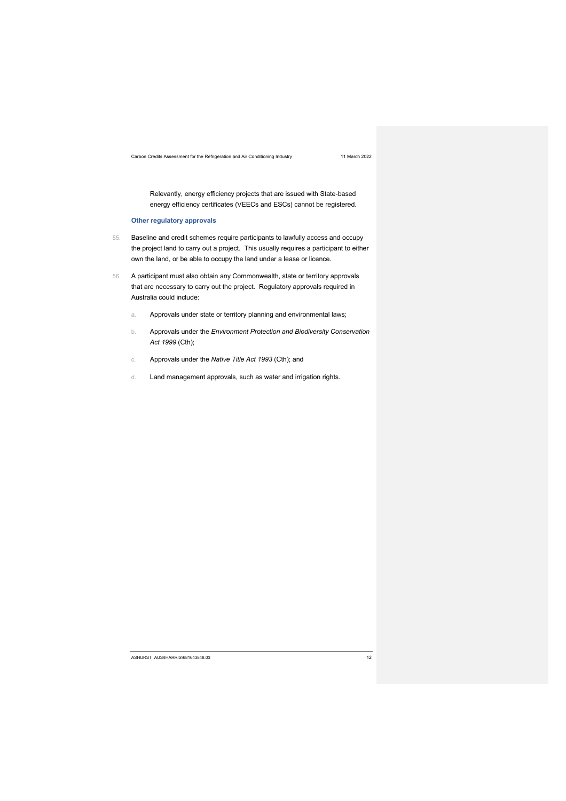Relevantly, energy efficiency projects that are issued with State-based energy efficiency certificates (VEECs and ESCs) cannot be registered.

### **Other regulatory approvals**

- 55. Baseline and credit schemes require participants to lawfully access and occupy the project land to carry out a project. This usually requires a participant to either own the land, or be able to occupy the land under a lease or licence.
- 56. A participant must also obtain any Commonwealth, state or territory approvals that are necessary to carry out the project. Regulatory approvals required in Australia could include:
	- a. Approvals under state or territory planning and environmental laws;
	- b. Approvals under the *Environment Protection and Biodiversity Conservation Act 1999* (Cth);
	- c. Approvals under the *Native Title Act 1993* (Cth); and
	- d. Land management approvals, such as water and irrigation rights.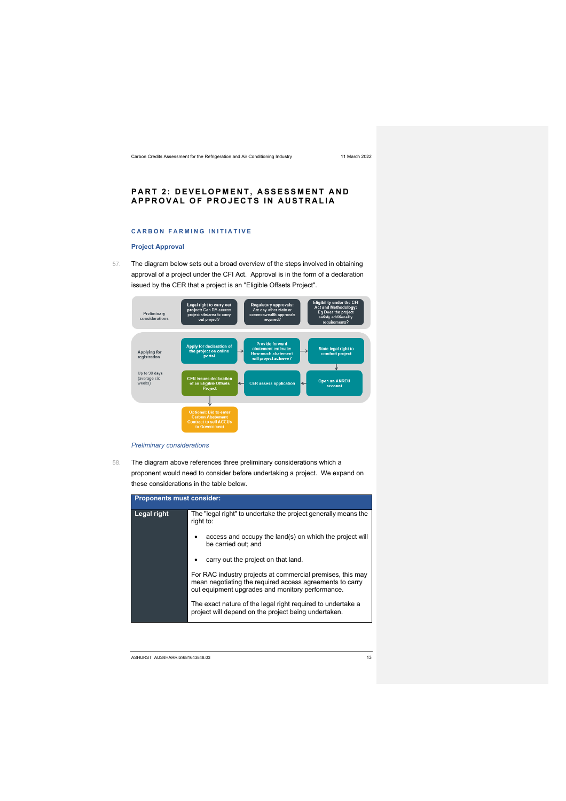### **PART 2: DEVELOPMENT, ASSESSMENT AND APPROVAL OF PROJECTS IN AUSTRALIA**

# **CARBON FARMING INITIATIVE**

### **Project Approval**

57. The diagram below sets out a broad overview of the steps involved in obtaining approval of a project under the CFI Act. Approval is in the form of a declaration issued by the CER that a project is an "Eligible Offsets Project".



### *Preliminary considerations*

58. The diagram above references three preliminary considerations which a proponent would need to consider before undertaking a project. We expand on these considerations in the table below.

| <b>Proponents must consider:</b> |                                                                                                                                                                            |  |  |
|----------------------------------|----------------------------------------------------------------------------------------------------------------------------------------------------------------------------|--|--|
| Legal right                      | The "legal right" to undertake the project generally means the<br>right to:                                                                                                |  |  |
|                                  | access and occupy the land(s) on which the project will<br>be carried out: and                                                                                             |  |  |
|                                  | carry out the project on that land.                                                                                                                                        |  |  |
|                                  | For RAC industry projects at commercial premises, this may<br>mean negotiating the required access agreements to carry<br>out equipment upgrades and monitory performance. |  |  |
|                                  | The exact nature of the legal right required to undertake a<br>project will depend on the project being undertaken.                                                        |  |  |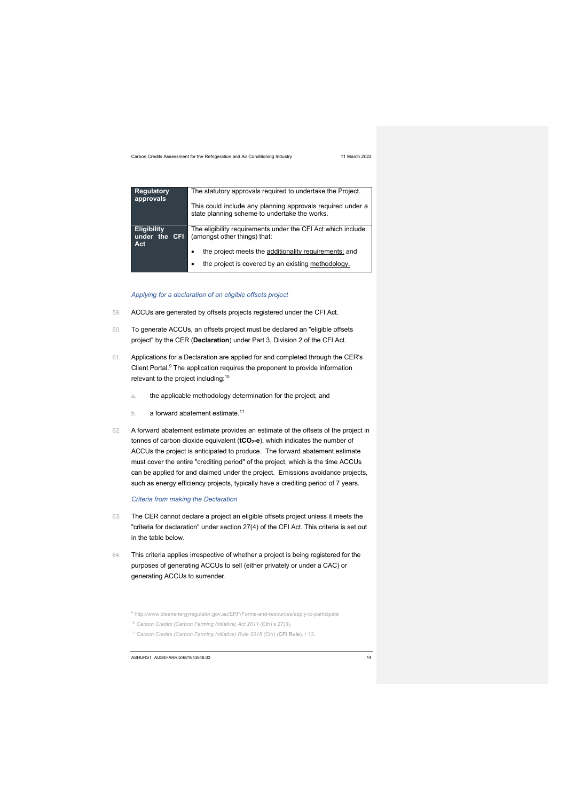| <b>Regulatory</b><br>approvals             | The statutory approvals required to undertake the Project.                                                  |  |  |
|--------------------------------------------|-------------------------------------------------------------------------------------------------------------|--|--|
|                                            | This could include any planning approvals required under a<br>state planning scheme to undertake the works. |  |  |
| <b>Eligibility</b><br>under the CFI<br>Act | The eligibility requirements under the CFI Act which include<br>(amongst other things) that:                |  |  |
|                                            | the project meets the additionality requirements; and<br>٠                                                  |  |  |
|                                            | the project is covered by an existing methodology.                                                          |  |  |

*Applying for a declaration of an eligible offsets project*

- 59. ACCUs are generated by offsets projects registered under the CFI Act.
- 60. To generate ACCUs, an offsets project must be declared an "eligible offsets project" by the CER (**Declaration**) under Part 3, Division 2 of the CFI Act.
- 61. Applications for a Declaration are applied for and completed through the CER's Client Portal.9 The application requires the proponent to provide information relevant to the project including:10
	- a. the applicable methodology determination for the project; and
	- b. a forward abatement estimate.<sup>11</sup>
- 62. A forward abatement estimate provides an estimate of the offsets of the project in tonnes of carbon dioxide equivalent (**tCO2-e**), which indicates the number of ACCUs the project is anticipated to produce. The forward abatement estimate must cover the entire "crediting period" of the project, which is the time ACCUs can be applied for and claimed under the project. Emissions avoidance projects, such as energy efficiency projects, typically have a crediting period of 7 years.

*Criteria from making the Declaration*

- 63. The CER cannot declare a project an eligible offsets project unless it meets the "criteria for declaration" under section 27(4) of the CFI Act. This criteria is set out in the table below.
- 64. This criteria applies irrespective of whether a project is being registered for the purposes of generating ACCUs to sell (either privately or under a CAC) or generating ACCUs to surrender.

<sup>9</sup> http://www.cleanenergyregulator.gov.au/ERF/Forms-and-resources/apply-to-participate

<sup>10</sup> *Carbon Credits (Carbon Farming Initiative) Act 2011* (Cth) s 27(3).

<sup>11</sup> *Carbon Credits (Carbon Farming Initiative) Rule 2015* (Cth) (**CFI Rule**), r 13.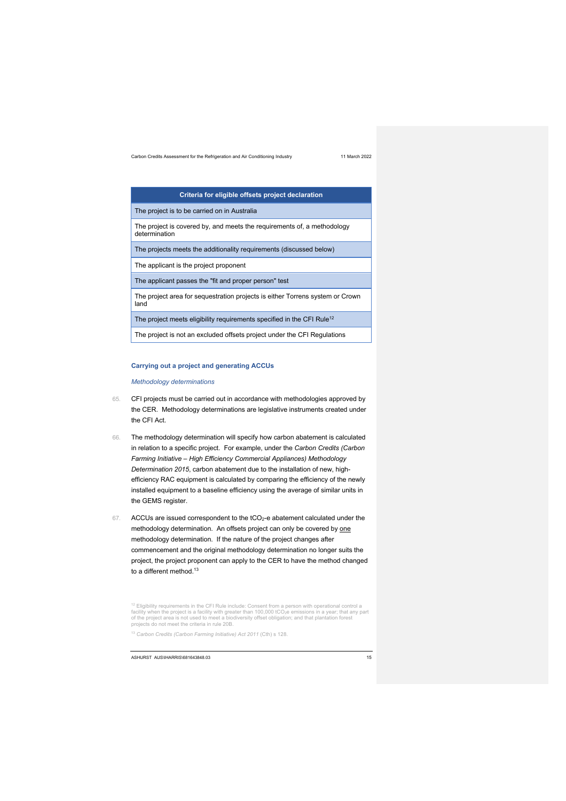| Criteria for eligible offsets project declaration                                        |
|------------------------------------------------------------------------------------------|
| The project is to be carried on in Australia                                             |
| The project is covered by, and meets the requirements of, a methodology<br>determination |
| The projects meets the additionality requirements (discussed below)                      |
| The applicant is the project proponent                                                   |
| The applicant passes the "fit and proper person" test                                    |
| The project area for sequestration projects is either Torrens system or Crown<br>land    |
| The project meets eligibility requirements specified in the CFI Rule <sup>12</sup>       |
| The project is not an excluded offsets project under the CFI Regulations                 |

### **Carrying out a project and generating ACCUs**

*Methodology determinations*

- 65. CFI projects must be carried out in accordance with methodologies approved by the CER. Methodology determinations are legislative instruments created under the CFI Act.
- 66. The methodology determination will specify how carbon abatement is calculated in relation to a specific project. For example, under the *Carbon Credits (Carbon Farming Initiative – High Efficiency Commercial Appliances) Methodology Determination 2015*, carbon abatement due to the installation of new, highefficiency RAC equipment is calculated by comparing the efficiency of the newly installed equipment to a baseline efficiency using the average of similar units in the GEMS register.
- 67. ACCUs are issued correspondent to the tCO2-e abatement calculated under the methodology determination. An offsets project can only be covered by one methodology determination. If the nature of the project changes after commencement and the original methodology determination no longer suits the project, the project proponent can apply to the CER to have the method changed to a different method.<sup>13</sup>

<sup>13</sup> *Carbon Credits (Carbon Farming Initiative) Act 2011* (Cth) s 128.

<sup>&</sup>lt;sup>12</sup> Eligibility requirements in the CFI Rule include: Consent from a person with operational control a<br>facility when the project is a facility with greater than 100,000 tCO<sub>z</sub>e emissions in a year; that any part<br>of the pr projects do not meet the criteria in rule 20B.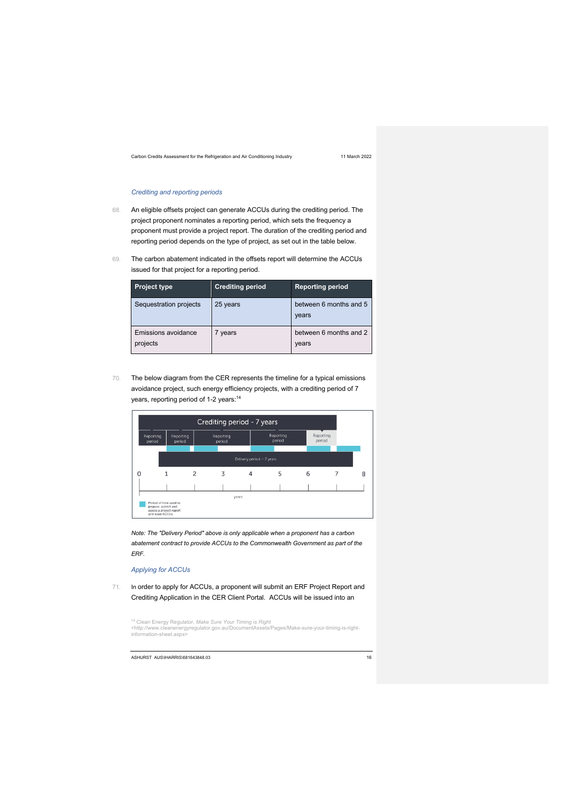### *Crediting and reporting periods*

- 68. An eligible offsets project can generate ACCUs during the crediting period. The project proponent nominates a reporting period, which sets the frequency a proponent must provide a project report. The duration of the crediting period and reporting period depends on the type of project, as set out in the table below.
- 69. The carbon abatement indicated in the offsets report will determine the ACCUs issued for that project for a reporting period.

| <b>Project type</b>             | <b>Crediting period</b> | <b>Reporting period</b>         |
|---------------------------------|-------------------------|---------------------------------|
| Sequestration projects          | 25 years                | between 6 months and 5<br>years |
| Emissions avoidance<br>projects | years                   | between 6 months and 2<br>years |

70. The below diagram from the CER represents the timeline for a typical emissions avoidance project, such energy efficiency projects, with a crediting period of 7 years, reporting period of 1-2 years:<sup>14</sup>



*Note: The "Delivery Period" above is only applicable when a proponent has a carbon abatement contract to provide ACCUs to the Commonwealth Government as part of the ERF.*

### *Applying for ACCUs*

71. In order to apply for ACCUs, a proponent will submit an ERF Project Report and Crediting Application in the CER Client Portal. ACCUs will be issued into an

<sup>14</sup> Clean Energy Regulator, *Make Sure Your Timing is Right* <http://www.cleanenergyregulator.gov.au/DocumentAssets/Pages/Make-sure-your-timing-is-rightinformation-sheet.aspx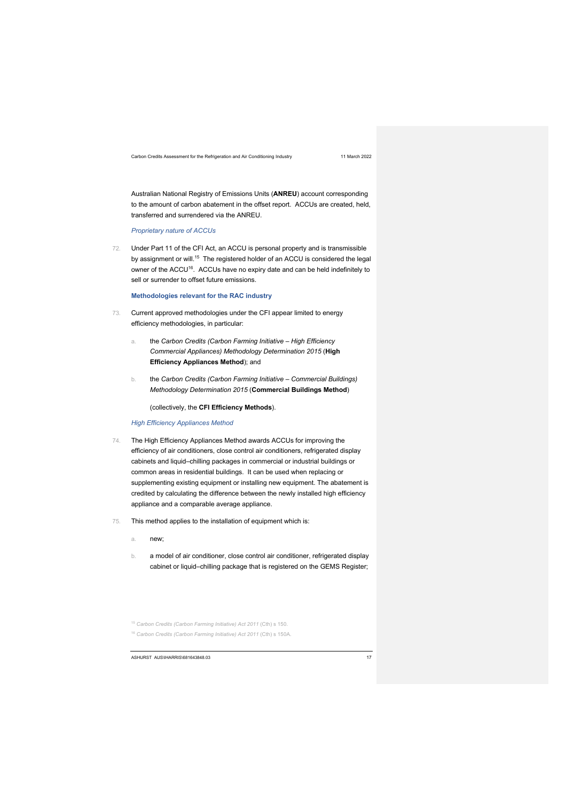Australian National Registry of Emissions Units (**ANREU**) account corresponding to the amount of carbon abatement in the offset report. ACCUs are created, held, transferred and surrendered via the ANREU.

*Proprietary nature of ACCUs*

72. Under Part 11 of the CFI Act, an ACCU is personal property and is transmissible by assignment or will.<sup>15</sup> The registered holder of an ACCU is considered the legal owner of the ACCU<sup>16</sup>. ACCUs have no expiry date and can be held indefinitely to sell or surrender to offset future emissions.

**Methodologies relevant for the RAC industry**

- 73. Current approved methodologies under the CFI appear limited to energy efficiency methodologies, in particular:
	- a. the *Carbon Credits (Carbon Farming Initiative – High Efficiency Commercial Appliances) Methodology Determination 2015* (**High Efficiency Appliances Method**); and
	- b. the *Carbon Credits (Carbon Farming Initiative – Commercial Buildings) Methodology Determination 2015* (**Commercial Buildings Method**)

(collectively, the **CFI Efficiency Methods**).

### *High Efficiency Appliances Method*

- 74. The High Efficiency Appliances Method awards ACCUs for improving the efficiency of air conditioners, close control air conditioners, refrigerated display cabinets and liquid–chilling packages in commercial or industrial buildings or common areas in residential buildings. It can be used when replacing or supplementing existing equipment or installing new equipment. The abatement is credited by calculating the difference between the newly installed high efficiency appliance and a comparable average appliance.
- 75. This method applies to the installation of equipment which is:
	- a. new;
	- b. a model of air conditioner, close control air conditioner, refrigerated display cabinet or liquid–chilling package that is registered on the GEMS Register;

<sup>15</sup> *Carbon Credits (Carbon Farming Initiative) Act 2011* (Cth) s 150.

<sup>16</sup> *Carbon Credits (Carbon Farming Initiative) Act 2011* (Cth) s 150A.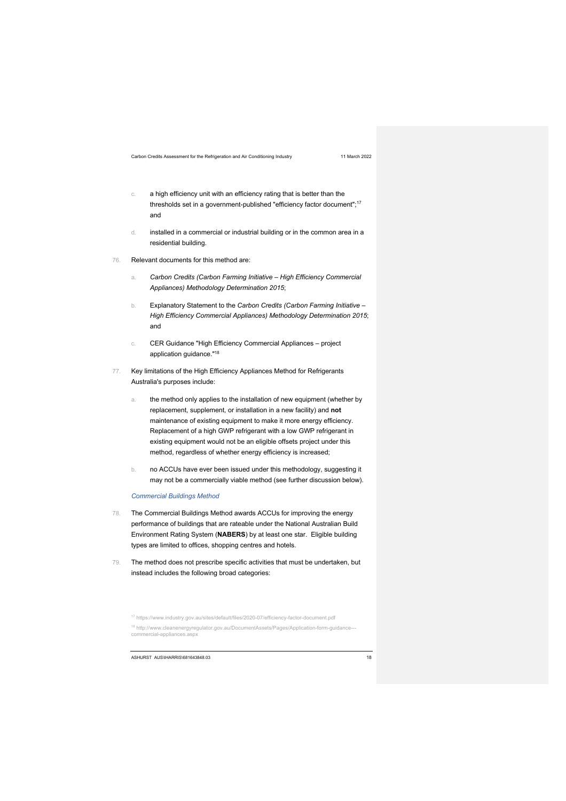- c. a high efficiency unit with an efficiency rating that is better than the thresholds set in a government-published "efficiency factor document";<sup>17</sup> and
- d. installed in a commercial or industrial building or in the common area in a residential building.
- 76. Relevant documents for this method are:
	- a. *Carbon Credits (Carbon Farming Initiative – High Efficiency Commercial Appliances) Methodology Determination 2015*;
	- b. Explanatory Statement to the *Carbon Credits (Carbon Farming Initiative – High Efficiency Commercial Appliances) Methodology Determination 2015*; and
	- c. CER Guidance "High Efficiency Commercial Appliances project application guidance."18
- 77. Key limitations of the High Efficiency Appliances Method for Refrigerants Australia's purposes include:
	- a. the method only applies to the installation of new equipment (whether by replacement, supplement, or installation in a new facility) and **not** maintenance of existing equipment to make it more energy efficiency. Replacement of a high GWP refrigerant with a low GWP refrigerant in existing equipment would not be an eligible offsets project under this method, regardless of whether energy efficiency is increased;
	- b. no ACCUs have ever been issued under this methodology, suggesting it may not be a commercially viable method (see further discussion below).

### *Commercial Buildings Method*

- 78. The Commercial Buildings Method awards ACCUs for improving the energy performance of buildings that are rateable under the National Australian Build Environment Rating System (**NABERS**) by at least one star. Eligible building types are limited to offices, shopping centres and hotels.
- 79. The method does not prescribe specific activities that must be undertaken, but instead includes the following broad categories:

<sup>17</sup> https://www.industry.gov.au/sites/default/files/2020-07/efficiencv-factor-document.pdf

<sup>18</sup> http://www.cleanenergyregulator.gov.au/DocumentAssets/Pages/Application-form-guidance-commercial-appliances.aspx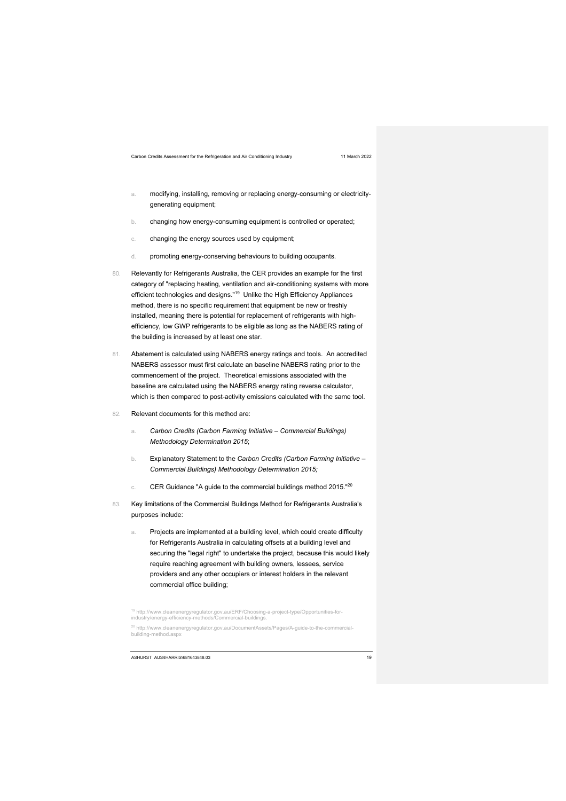- a. modifying, installing, removing or replacing energy-consuming or electricitygenerating equipment;
- b. changing how energy-consuming equipment is controlled or operated;
- c. changing the energy sources used by equipment;
- d. promoting energy-conserving behaviours to building occupants.
- 80. Relevantly for Refrigerants Australia, the CER provides an example for the first category of "replacing heating, ventilation and air-conditioning systems with more efficient technologies and designs."19 Unlike the High Efficiency Appliances method, there is no specific requirement that equipment be new or freshly installed, meaning there is potential for replacement of refrigerants with highefficiency, low GWP refrigerants to be eligible as long as the NABERS rating of the building is increased by at least one star.
- 81. Abatement is calculated using NABERS energy ratings and tools. An accredited NABERS assessor must first calculate an baseline NABERS rating prior to the commencement of the project. Theoretical emissions associated with the baseline are calculated using the NABERS energy rating reverse calculator, which is then compared to post-activity emissions calculated with the same tool.
- 82. Relevant documents for this method are:
	- a. *Carbon Credits (Carbon Farming Initiative – Commercial Buildings) Methodology Determination 2015*;
	- b. Explanatory Statement to the *Carbon Credits (Carbon Farming Initiative – Commercial Buildings) Methodology Determination 2015;*
	- c. CER Guidance "A guide to the commercial buildings method 2015."20
- 83. Key limitations of the Commercial Buildings Method for Refrigerants Australia's purposes include:
	- a. Projects are implemented at a building level, which could create difficulty for Refrigerants Australia in calculating offsets at a building level and securing the "legal right" to undertake the project, because this would likely require reaching agreement with building owners, lessees, service providers and any other occupiers or interest holders in the relevant commercial office building;

<sup>19</sup> http://www.cleanenergyregulator.gov.au/ERF/Choosing-a-project-type/Opportunities-for-industry/energy-efficiency-methods/Commercial-buildings.

<sup>20</sup> http://www.cleanenergyregulator.gov.au/DocumentAssets/Pages/A-guide-to-the-commercialbuilding-method.aspx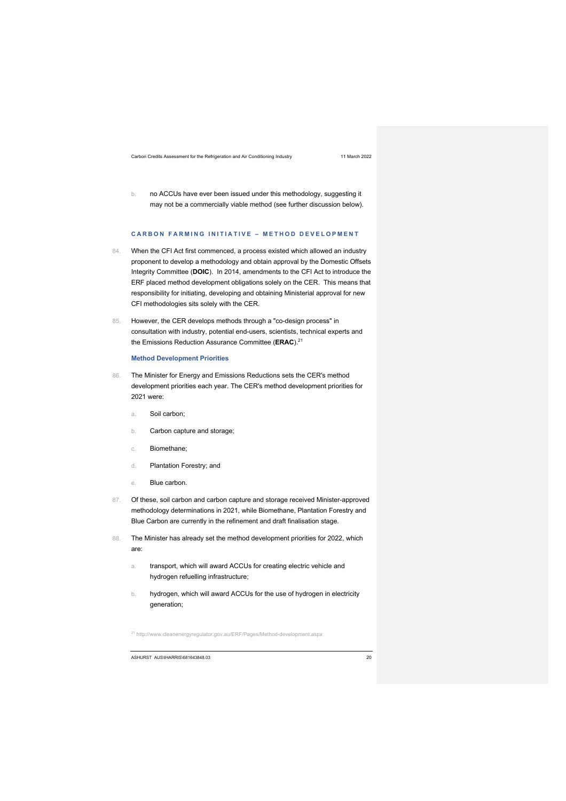b. no ACCUs have ever been issued under this methodology, suggesting it may not be a commercially viable method (see further discussion below).

### **CARBON FARMING INITIATIVE – METHOD DEVELOPMENT**

- 84. When the CFI Act first commenced, a process existed which allowed an industry proponent to develop a methodology and obtain approval by the Domestic Offsets Integrity Committee (**DOIC**). In 2014, amendments to the CFI Act to introduce the ERF placed method development obligations solely on the CER. This means that responsibility for initiating, developing and obtaining Ministerial approval for new CFI methodologies sits solely with the CER.
- 85. However, the CER develops methods through a "co-design process" in consultation with industry, potential end-users, scientists, technical experts and the Emissions Reduction Assurance Committee (**ERAC**).21

### **Method Development Priorities**

- 86. The Minister for Energy and Emissions Reductions sets the CER's method development priorities each year. The CER's method development priorities for 2021 were:
	- a. Soil carbon;
	- b. Carbon capture and storage;
	- c. Biomethane;
	- d. Plantation Forestry; and
	- e. Blue carbon.
- 87. Of these, soil carbon and carbon capture and storage received Minister-approved methodology determinations in 2021, while Biomethane, Plantation Forestry and Blue Carbon are currently in the refinement and draft finalisation stage.
- 88. The Minister has already set the method development priorities for 2022, which are:
	- a. transport, which will award ACCUs for creating electric vehicle and hydrogen refuelling infrastructure;
	- b. hydrogen, which will award ACCUs for the use of hydrogen in electricity generation;

<sup>21</sup> http://www.cleanenergyregulator.gov.au/ERF/Pages/Method-development.aspx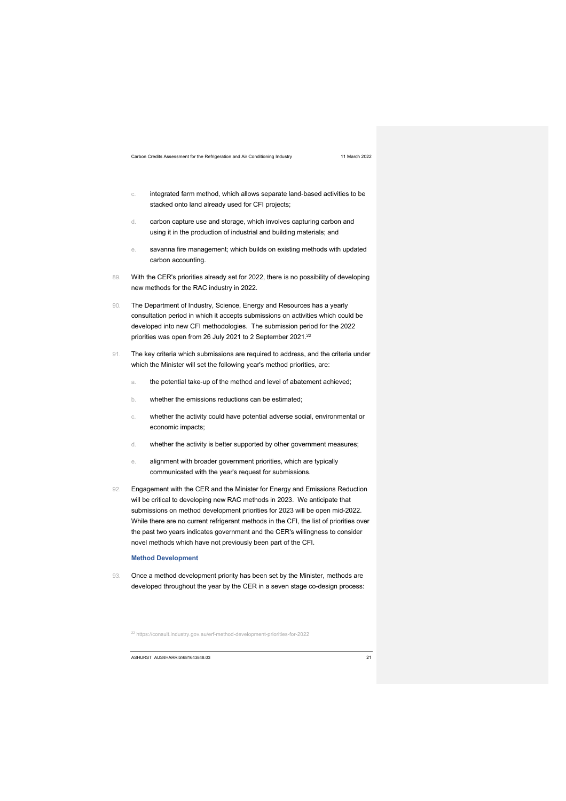- c. integrated farm method, which allows separate land-based activities to be stacked onto land already used for CFI projects;
- d. carbon capture use and storage, which involves capturing carbon and using it in the production of industrial and building materials; and
- e. savanna fire management; which builds on existing methods with updated carbon accounting.
- 89. With the CER's priorities already set for 2022, there is no possibility of developing new methods for the RAC industry in 2022.
- 90. The Department of Industry, Science, Energy and Resources has a yearly consultation period in which it accepts submissions on activities which could be developed into new CFI methodologies. The submission period for the 2022 priorities was open from 26 July 2021 to 2 September 2021.<sup>22</sup>
- 91. The key criteria which submissions are required to address, and the criteria under which the Minister will set the following year's method priorities, are:
	- a. the potential take-up of the method and level of abatement achieved;
	- b. whether the emissions reductions can be estimated;
	- c. whether the activity could have potential adverse social, environmental or economic impacts;
	- d. whether the activity is better supported by other government measures;
	- e. alignment with broader government priorities, which are typically communicated with the year's request for submissions.
- 92. Engagement with the CER and the Minister for Energy and Emissions Reduction will be critical to developing new RAC methods in 2023. We anticipate that submissions on method development priorities for 2023 will be open mid-2022. While there are no current refrigerant methods in the CFI, the list of priorities over the past two years indicates government and the CER's willingness to consider novel methods which have not previously been part of the CFI.

### **Method Development**

93. Once a method development priority has been set by the Minister, methods are developed throughout the year by the CER in a seven stage co-design process:

<sup>22</sup> https://consult.industry.gov.au/erf-method-development-priorities-for-2022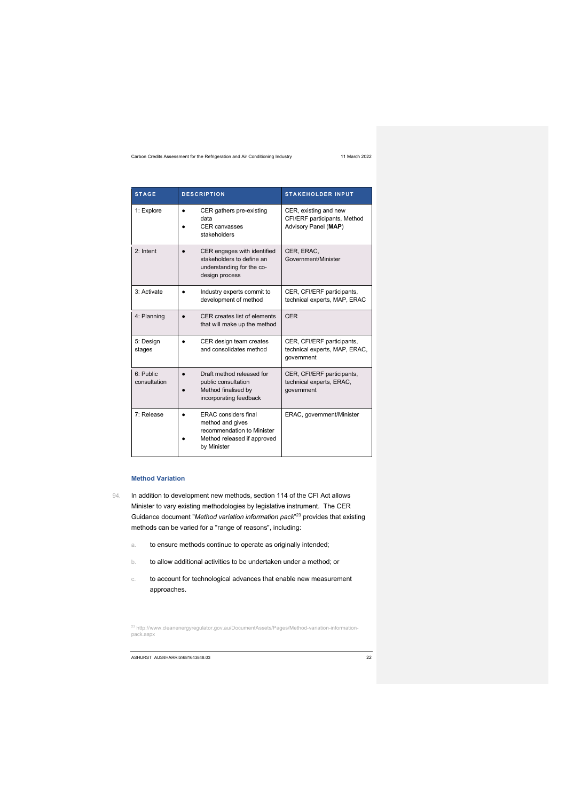| <b>STAGE</b>              | <b>DESCRIPTION</b>                                                                                                          | <b>STAKEHOLDER INPUT</b>                                                      |
|---------------------------|-----------------------------------------------------------------------------------------------------------------------------|-------------------------------------------------------------------------------|
| 1: Explore                | CER gathers pre-existing<br>data<br><b>CER</b> canvasses<br>stakeholders                                                    | CER, existing and new<br>CFI/ERF participants, Method<br>Advisory Panel (MAP) |
| 2: Intent                 | CER engages with identified<br>stakeholders to define an<br>understanding for the co-<br>design process                     | CER, ERAC,<br>Government/Minister                                             |
| 3: Activate               | Industry experts commit to<br>$\bullet$<br>development of method                                                            | CER, CFI/ERF participants,<br>technical experts, MAP, ERAC                    |
| 4: Planning               | CER creates list of elements<br>that will make up the method                                                                | CFR                                                                           |
| 5: Design<br>stages       | CER design team creates<br>$\bullet$<br>and consolidates method                                                             | CER, CFI/ERF participants,<br>technical experts, MAP, ERAC,<br>government     |
| 6: Public<br>consultation | Draft method released for<br>public consultation<br>Method finalised by<br>incorporating feedback                           | CER, CFI/ERF participants,<br>technical experts, ERAC,<br>government          |
| 7: Release                | <b>ERAC</b> considers final<br>method and gives<br>recommendation to Minister<br>Method released if approved<br>by Minister | ERAC, government/Minister                                                     |

### **Method Variation**

- 94. In addition to development new methods, section 114 of the CFI Act allows Minister to vary existing methodologies by legislative instrument. The CER Guidance document "*Method variation information pack*" <sup>23</sup> provides that existing methods can be varied for a "range of reasons", including:
	- a. to ensure methods continue to operate as originally intended;
	- b. to allow additional activities to be undertaken under a method; or
	- c. to account for technological advances that enable new measurement approaches.

<sup>23</sup> http://www.cleanenergyregulator.gov.au/DocumentAssets/Pages/Method-variation-informationpack.aspx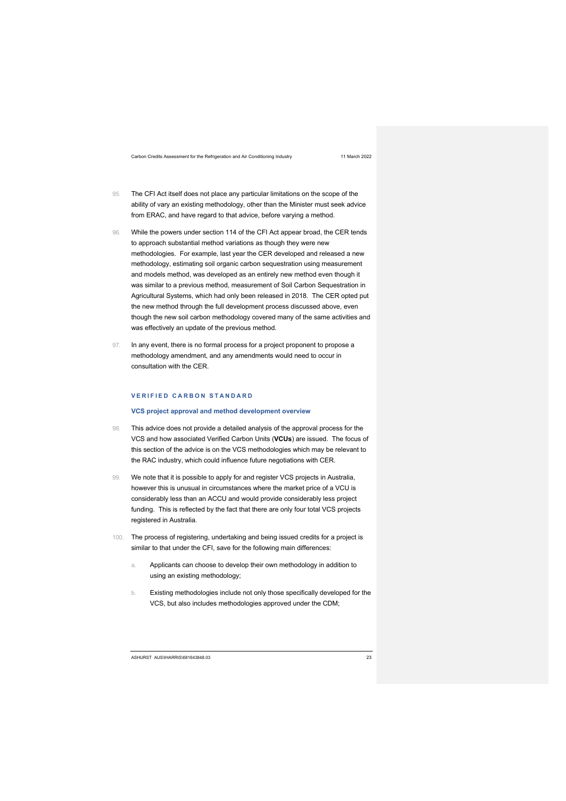- 95. The CFI Act itself does not place any particular limitations on the scope of the ability of vary an existing methodology, other than the Minister must seek advice from ERAC, and have regard to that advice, before varying a method.
- 96. While the powers under section 114 of the CFI Act appear broad, the CER tends to approach substantial method variations as though they were new methodologies. For example, last year the CER developed and released a new methodology, estimating soil organic carbon sequestration using measurement and models method, was developed as an entirely new method even though it was similar to a previous method, measurement of Soil Carbon Sequestration in Agricultural Systems, which had only been released in 2018. The CER opted put the new method through the full development process discussed above, even though the new soil carbon methodology covered many of the same activities and was effectively an update of the previous method.
- 97. In any event, there is no formal process for a project proponent to propose a methodology amendment, and any amendments would need to occur in consultation with the CER.

## **VERIFIED CARBON STANDARD**

### **VCS project approval and method development overview**

- 98. This advice does not provide a detailed analysis of the approval process for the VCS and how associated Verified Carbon Units (**VCUs**) are issued. The focus of this section of the advice is on the VCS methodologies which may be relevant to the RAC industry, which could influence future negotiations with CER.
- 99. We note that it is possible to apply for and register VCS projects in Australia, however this is unusual in circumstances where the market price of a VCU is considerably less than an ACCU and would provide considerably less project funding. This is reflected by the fact that there are only four total VCS projects registered in Australia.
- 100. The process of registering, undertaking and being issued credits for a project is similar to that under the CFI, save for the following main differences:
	- a. Applicants can choose to develop their own methodology in addition to using an existing methodology;
	- b. Existing methodologies include not only those specifically developed for the VCS, but also includes methodologies approved under the CDM;

ASHURST AUS\IHARRIS\681643848.03 23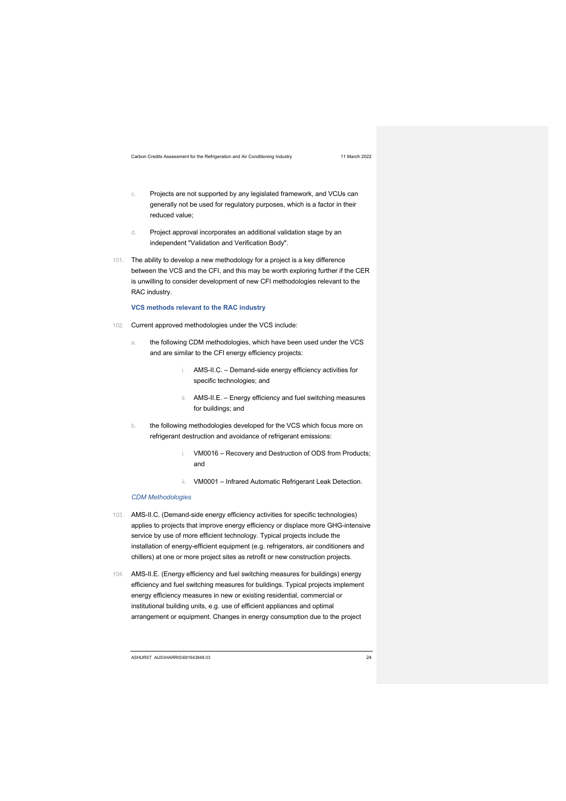- c. Projects are not supported by any legislated framework, and VCUs can generally not be used for regulatory purposes, which is a factor in their reduced value;
- d. Project approval incorporates an additional validation stage by an independent "Validation and Verification Body".
- 101. The ability to develop a new methodology for a project is a key difference between the VCS and the CFI, and this may be worth exploring further if the CER is unwilling to consider development of new CFI methodologies relevant to the RAC industry.

**VCS methods relevant to the RAC industry**

- 102. Current approved methodologies under the VCS include:
	- a. the following CDM methodologies, which have been used under the VCS and are similar to the CFI energy efficiency projects:
		- i. AMS-II.C. Demand-side energy efficiency activities for specific technologies; and
		- ii. AMS-II.E. Energy efficiency and fuel switching measures for buildings; and
	- b. the following methodologies developed for the VCS which focus more on refrigerant destruction and avoidance of refrigerant emissions:
		- VM0016 Recovery and Destruction of ODS from Products; and
		- ii. VM0001 Infrared Automatic Refrigerant Leak Detection.

### *CDM Methodologies*

- 103. AMS-II.C. (Demand-side energy efficiency activities for specific technologies) applies to projects that improve energy efficiency or displace more GHG-intensive service by use of more efficient technology. Typical projects include the installation of energy-efficient equipment (e.g. refrigerators, air conditioners and chillers) at one or more project sites as retrofit or new construction projects.
- 104. AMS-II.E. (Energy efficiency and fuel switching measures for buildings) energy efficiency and fuel switching measures for buildings. Typical projects implement energy efficiency measures in new or existing residential, commercial or institutional building units, e.g. use of efficient appliances and optimal arrangement or equipment. Changes in energy consumption due to the project

ASHURST AUS\IHARRIS\681643848.03 24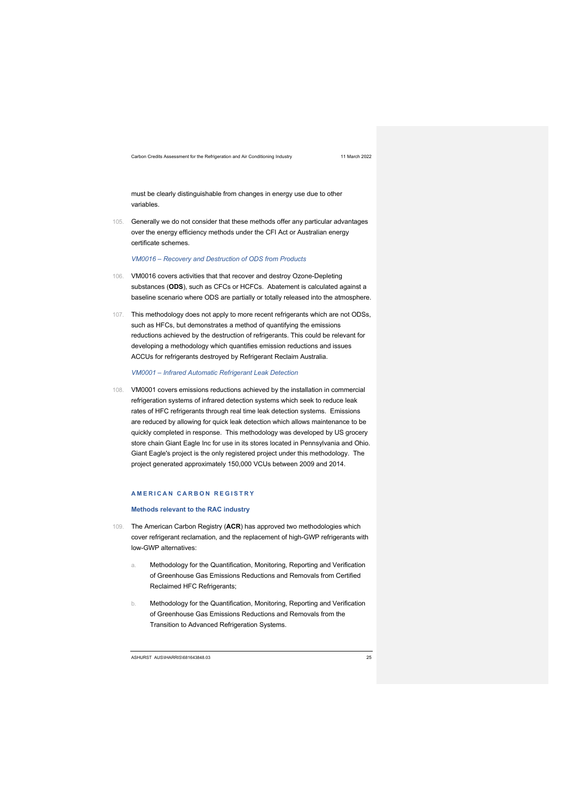must be clearly distinguishable from changes in energy use due to other variables.

105. Generally we do not consider that these methods offer any particular advantages over the energy efficiency methods under the CFI Act or Australian energy certificate schemes.

*VM0016 – Recovery and Destruction of ODS from Products*

- 106. VM0016 covers activities that that recover and destroy Ozone-Depleting substances (**ODS**), such as CFCs or HCFCs. Abatement is calculated against a baseline scenario where ODS are partially or totally released into the atmosphere.
- 107. This methodology does not apply to more recent refrigerants which are not ODSs, such as HFCs, but demonstrates a method of quantifying the emissions reductions achieved by the destruction of refrigerants. This could be relevant for developing a methodology which quantifies emission reductions and issues ACCUs for refrigerants destroyed by Refrigerant Reclaim Australia.

*VM0001 – Infrared Automatic Refrigerant Leak Detection*

108. VM0001 covers emissions reductions achieved by the installation in commercial refrigeration systems of infrared detection systems which seek to reduce leak rates of HFC refrigerants through real time leak detection systems. Emissions are reduced by allowing for quick leak detection which allows maintenance to be quickly completed in response. This methodology was developed by US grocery store chain Giant Eagle Inc for use in its stores located in Pennsylvania and Ohio. Giant Eagle's project is the only registered project under this methodology. The project generated approximately 150,000 VCUs between 2009 and 2014.

### **AMERICAN CARBON REGISTRY**

### **Methods relevant to the RAC industry**

- 109. The American Carbon Registry (**ACR**) has approved two methodologies which cover refrigerant reclamation, and the replacement of high-GWP refrigerants with low-GWP alternatives:
	- a. Methodology for the Quantification, Monitoring, Reporting and Verification of Greenhouse Gas Emissions Reductions and Removals from Certified Reclaimed HFC Refrigerants;
	- b. Methodology for the Quantification, Monitoring, Reporting and Verification of Greenhouse Gas Emissions Reductions and Removals from the Transition to Advanced Refrigeration Systems.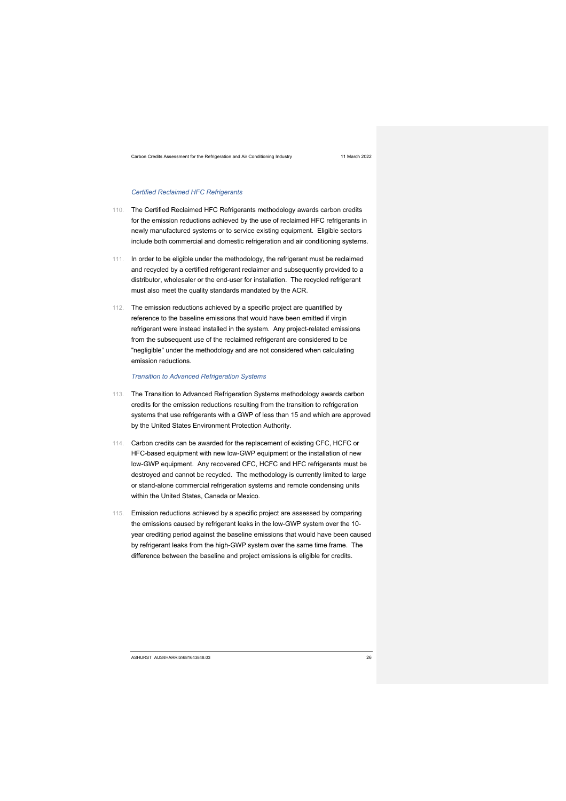### *Certified Reclaimed HFC Refrigerants*

- 110. The Certified Reclaimed HFC Refrigerants methodology awards carbon credits for the emission reductions achieved by the use of reclaimed HFC refrigerants in newly manufactured systems or to service existing equipment. Eligible sectors include both commercial and domestic refrigeration and air conditioning systems.
- 111. In order to be eligible under the methodology, the refrigerant must be reclaimed and recycled by a certified refrigerant reclaimer and subsequently provided to a distributor, wholesaler or the end-user for installation. The recycled refrigerant must also meet the quality standards mandated by the ACR.
- 112. The emission reductions achieved by a specific project are quantified by reference to the baseline emissions that would have been emitted if virgin refrigerant were instead installed in the system. Any project-related emissions from the subsequent use of the reclaimed refrigerant are considered to be "negligible" under the methodology and are not considered when calculating emission reductions.

*Transition to Advanced Refrigeration Systems*

- 113. The Transition to Advanced Refrigeration Systems methodology awards carbon credits for the emission reductions resulting from the transition to refrigeration systems that use refrigerants with a GWP of less than 15 and which are approved by the United States Environment Protection Authority.
- 114. Carbon credits can be awarded for the replacement of existing CFC, HCFC or HFC-based equipment with new low-GWP equipment or the installation of new low-GWP equipment. Any recovered CFC, HCFC and HFC refrigerants must be destroyed and cannot be recycled. The methodology is currently limited to large or stand-alone commercial refrigeration systems and remote condensing units within the United States, Canada or Mexico.
- 115. Emission reductions achieved by a specific project are assessed by comparing the emissions caused by refrigerant leaks in the low-GWP system over the 10 year crediting period against the baseline emissions that would have been caused by refrigerant leaks from the high-GWP system over the same time frame. The difference between the baseline and project emissions is eligible for credits.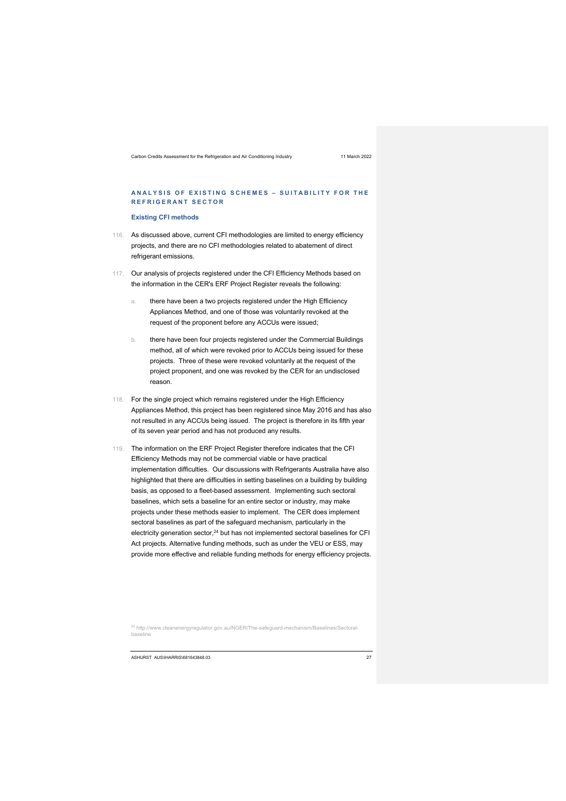### **ANALYSIS OF EXISTING SCHEMES – SUITABILITY FOR THE REFRIGERANT SECTOR**

### **Existing CFI methods**

- 116. As discussed above, current CFI methodologies are limited to energy efficiency projects, and there are no CFI methodologies related to abatement of direct refrigerant emissions.
- 117. Our analysis of projects registered under the CFI Efficiency Methods based on the information in the CER's ERF Project Register reveals the following:
	- there have been a two projects registered under the High Efficiency Appliances Method, and one of those was voluntarily revoked at the request of the proponent before any ACCUs were issued;
	- b. there have been four projects registered under the Commercial Buildings method, all of which were revoked prior to ACCUs being issued for these projects. Three of these were revoked voluntarily at the request of the project proponent, and one was revoked by the CER for an undisclosed reason.
- 118. For the single project which remains registered under the High Efficiency Appliances Method, this project has been registered since May 2016 and has also not resulted in any ACCUs being issued. The project is therefore in its fifth year of its seven year period and has not produced any results.
- 119. The information on the ERF Project Register therefore indicates that the CFI Efficiency Methods may not be commercial viable or have practical implementation difficulties. Our discussions with Refrigerants Australia have also highlighted that there are difficulties in setting baselines on a building by building basis, as opposed to a fleet-based assessment. Implementing such sectoral baselines, which sets a baseline for an entire sector or industry, may make projects under these methods easier to implement. The CER does implement sectoral baselines as part of the safeguard mechanism, particularly in the electricity generation sector, $24$  but has not implemented sectoral baselines for CFI Act projects. Alternative funding methods, such as under the VEU or ESS, may provide more effective and reliable funding methods for energy efficiency projects.

<sup>24</sup> http://www.cleanenergyregulator.gov.au/NGER/The-safeguard-mechanism/Baselines/Sectoralbaseline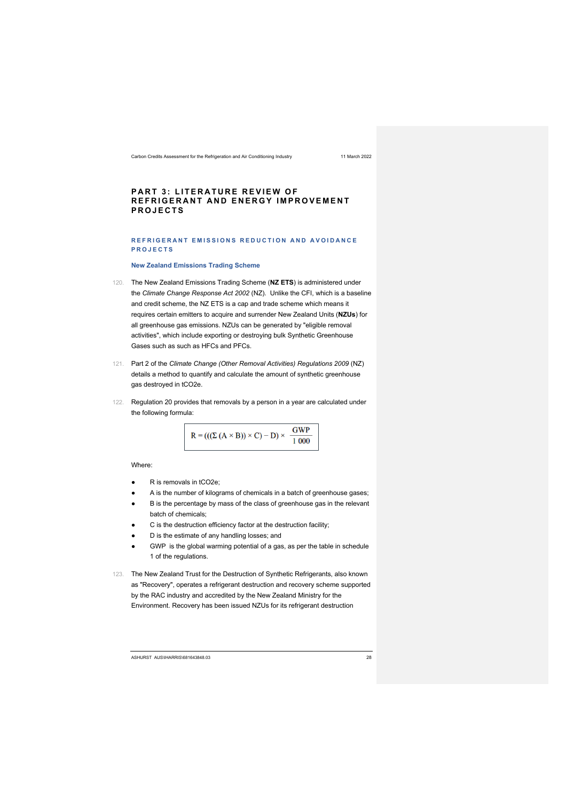### **PART 3: LITERATURE REVIEW OF REFRIGERANT AND ENERGY IMPROVEMENT PROJECTS**

### **REFRIGERANT EMISSIONS REDUCTION AND AVOIDANCE PROJECTS**

### **New Zealand Emissions Trading Scheme**

- 120. The New Zealand Emissions Trading Scheme (**NZ ETS**) is administered under the *Climate Change Response Act 2002* (NZ). Unlike the CFI, which is a baseline and credit scheme, the NZ ETS is a cap and trade scheme which means it requires certain emitters to acquire and surrender New Zealand Units (**NZUs**) for all greenhouse gas emissions. NZUs can be generated by "eligible removal activities", which include exporting or destroying bulk Synthetic Greenhouse Gases such as such as HFCs and PFCs.
- 121. Part 2 of the *Climate Change (Other Removal Activities) Regulations 2009* (NZ) details a method to quantify and calculate the amount of synthetic greenhouse gas destroyed in tCO2e.
- 122. Regulation 20 provides that removals by a person in a year are calculated under the following formula:

$$
R = (((\Sigma (A \times B)) \times C) - D) \times \frac{GWP}{1\,000}
$$

Where:

- R is removals in tCO2e;
- A is the number of kilograms of chemicals in a batch of greenhouse gases;
- B is the percentage by mass of the class of greenhouse gas in the relevant batch of chemicals;
- C is the destruction efficiency factor at the destruction facility;
- D is the estimate of any handling losses; and
- GWP is the global warming potential of a gas, as per the table in schedule 1 of the regulations.
- 123. The New Zealand Trust for the Destruction of Synthetic Refrigerants, also known as "Recovery", operates a refrigerant destruction and recovery scheme supported by the RAC industry and accredited by the New Zealand Ministry for the Environment. Recovery has been issued NZUs for its refrigerant destruction

ASHURST AUS\IHARRIS\681643848.03 28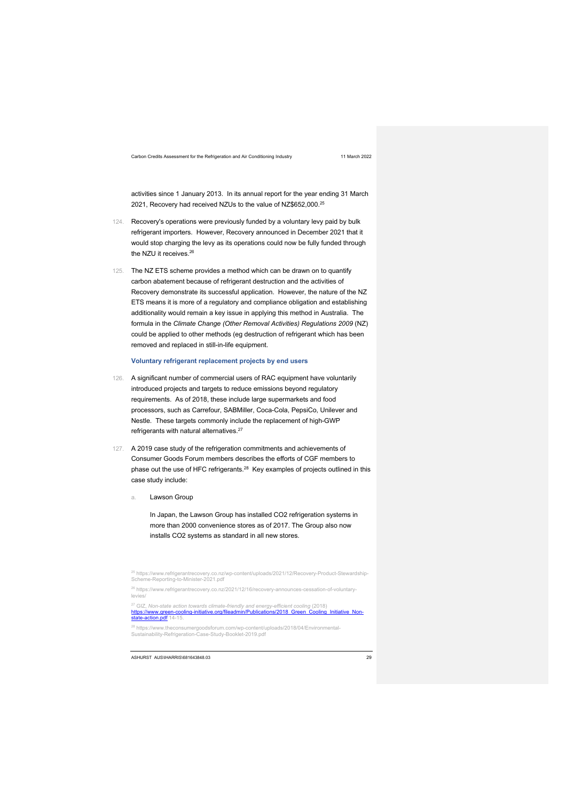activities since 1 January 2013. In its annual report for the year ending 31 March 2021, Recovery had received NZUs to the value of NZ\$652,000.25

- 124. Recovery's operations were previously funded by a voluntary levy paid by bulk refrigerant importers. However, Recovery announced in December 2021 that it would stop charging the levy as its operations could now be fully funded through the NZU it receives.<sup>26</sup>
- 125. The NZ ETS scheme provides a method which can be drawn on to quantify carbon abatement because of refrigerant destruction and the activities of Recovery demonstrate its successful application. However, the nature of the NZ ETS means it is more of a regulatory and compliance obligation and establishing additionality would remain a key issue in applying this method in Australia. The formula in the *Climate Change (Other Removal Activities) Regulations 2009* (NZ) could be applied to other methods (eg destruction of refrigerant which has been removed and replaced in still-in-life equipment.

### **Voluntary refrigerant replacement projects by end users**

- 126. A significant number of commercial users of RAC equipment have voluntarily introduced projects and targets to reduce emissions beyond regulatory requirements. As of 2018, these include large supermarkets and food processors, such as Carrefour, SABMiller, Coca-Cola, PepsiCo, Unilever and Nestle. These targets commonly include the replacement of high-GWP refrigerants with natural alternatives.<sup>27</sup>
- 127. A 2019 case study of the refrigeration commitments and achievements of Consumer Goods Forum members describes the efforts of CGF members to phase out the use of HFC refrigerants.28 Key examples of projects outlined in this case study include:
	- a. Lawson Group

In Japan, the Lawson Group has installed CO2 refrigeration systems in more than 2000 convenience stores as of 2017. The Group also now installs CO2 systems as standard in all new stores.

<sup>25</sup> https://www.refrigerantrecovery.co.nz/wp-content/uploads/2021/12/Recovery-Product-Stewardship-<br>Scheme-Reporting-to-Minister-2021.pdf <sup>26</sup> https://www.refrigerantrecovery.co.nz/2021/12/16/recovery-announces-cessation-of-voluntarylevies <sup>27</sup> GIZ, *Non-state action towards climate-friendly and energy-efficient cooling (2018)*<br>ht<mark>tps://www.green-cooling-initiative.org/fileadmin/Publications/2018\_Green\_Cooling\_Initiative\_Non-<br>state-action.pdf 14-15.</mark> <sup>28</sup> https://www.theconsumergoodsforum.com/wp-content/uploads/2018/04/Environmental-Sustainability-Refrigeration-Case-Study-Booklet-2019.pdf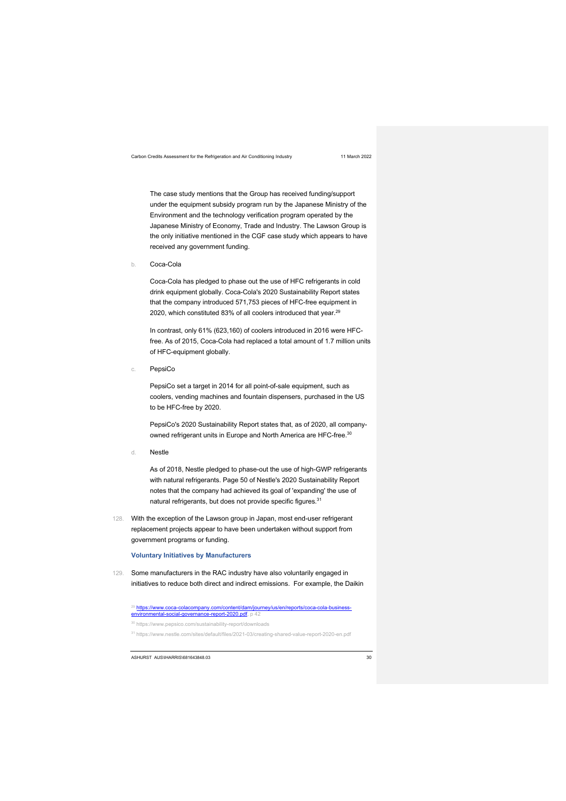The case study mentions that the Group has received funding/support under the equipment subsidy program run by the Japanese Ministry of the Environment and the technology verification program operated by the Japanese Ministry of Economy, Trade and Industry. The Lawson Group is the only initiative mentioned in the CGF case study which appears to have received any government funding.

b. Coca-Cola

Coca-Cola has pledged to phase out the use of HFC refrigerants in cold drink equipment globally. Coca-Cola's 2020 Sustainability Report states that the company introduced 571,753 pieces of HFC-free equipment in 2020, which constituted 83% of all coolers introduced that year.<sup>29</sup>

In contrast, only 61% (623,160) of coolers introduced in 2016 were HFCfree. As of 2015, Coca-Cola had replaced a total amount of 1.7 million units of HFC-equipment globally.

c. PepsiCo

PepsiCo set a target in 2014 for all point-of-sale equipment, such as coolers, vending machines and fountain dispensers, purchased in the US to be HFC-free by 2020.

PepsiCo's 2020 Sustainability Report states that, as of 2020, all companyowned refrigerant units in Europe and North America are HFC-free.<sup>30</sup>

d. Nestle

As of 2018, Nestle pledged to phase-out the use of high-GWP refrigerants with natural refrigerants. Page 50 of Nestle's 2020 Sustainability Report notes that the company had achieved its goal of 'expanding' the use of natural refrigerants, but does not provide specific figures.<sup>31</sup>

128. With the exception of the Lawson group in Japan, most end-user refrigerant replacement projects appear to have been undertaken without support from government programs or funding.

### **Voluntary Initiatives by Manufacturers**

129. Some manufacturers in the RAC industry have also voluntarily engaged in initiatives to reduce both direct and indirect emissions. For example, the Daikin

<sup>29</sup> <u>https://www.coca-colacompany.com/content/dam/journey/us/en/reports/coca-cola-business-<br>environmental-social-governance-report-2020.pdf, p 42</u>

<sup>31</sup> https://www.nestle.com/sites/default/files/2021-03/creating-shared-value-report-2020-en.pdf

<sup>30</sup> https://www.pepsico.com/sustainability-report/downloads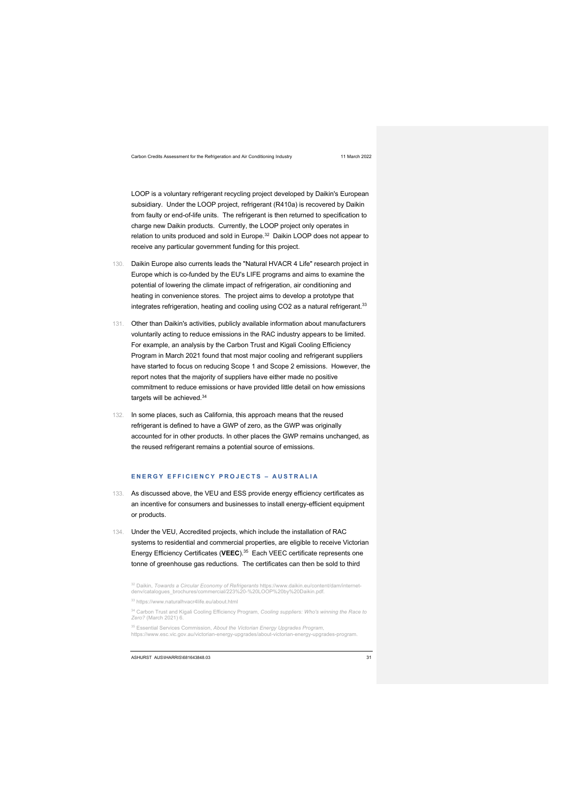LOOP is a voluntary refrigerant recycling project developed by Daikin's European subsidiary. Under the LOOP project, refrigerant (R410a) is recovered by Daikin from faulty or end-of-life units. The refrigerant is then returned to specification to charge new Daikin products. Currently, the LOOP project only operates in relation to units produced and sold in Europe.<sup>32</sup> Daikin LOOP does not appear to receive any particular government funding for this project.

- 130. Daikin Europe also currents leads the "Natural HVACR 4 Life" research project in Europe which is co-funded by the EU's LIFE programs and aims to examine the potential of lowering the climate impact of refrigeration, air conditioning and heating in convenience stores. The project aims to develop a prototype that integrates refrigeration, heating and cooling using CO2 as a natural refrigerant.<sup>33</sup>
- 131. Other than Daikin's activities, publicly available information about manufacturers voluntarily acting to reduce emissions in the RAC industry appears to be limited. For example, an analysis by the Carbon Trust and Kigali Cooling Efficiency Program in March 2021 found that most major cooling and refrigerant suppliers have started to focus on reducing Scope 1 and Scope 2 emissions. However, the report notes that the majority of suppliers have either made no positive commitment to reduce emissions or have provided little detail on how emissions targets will be achieved 34
- 132. In some places, such as California, this approach means that the reused refrigerant is defined to have a GWP of zero, as the GWP was originally accounted for in other products. In other places the GWP remains unchanged, as the reused refrigerant remains a potential source of emissions.

### **ENERGY EFFICIENCY PROJECTS – AUSTRALIA**

- 133. As discussed above, the VEU and ESS provide energy efficiency certificates as an incentive for consumers and businesses to install energy-efficient equipment or products.
- 134. Under the VEU, Accredited projects, which include the installation of RAC systems to residential and commercial properties, are eligible to receive Victorian Energy Efficiency Certificates (**VEEC**).35 Each VEEC certificate represents one tonne of greenhouse gas reductions. The certificates can then be sold to third

<sup>&</sup>lt;sup>32</sup> Daikin, *Towards a Circular Economy of Refrigerants* https://www.daikin.eu/content/dam/internet-<br>denv/catalogues\_brochures/commercial/223%20-%20LOOP%20by%20Daikin.pdf*.* 

<sup>33</sup> https://www.naturalhvacr4life.eu/about.html

<sup>34</sup> Carbon Trust and Kigali Cooling Efficiency Program, *Cooling suppliers: Who's winning the Race to Zero?* (March 2021) 6.

<sup>35</sup> Essential Services Commission, *About the Victorian Energy Upgrades Program*, https://www.esc.vic.gov.au/victorian-energy-upgrades/about-victorian-energy-upgrades-program.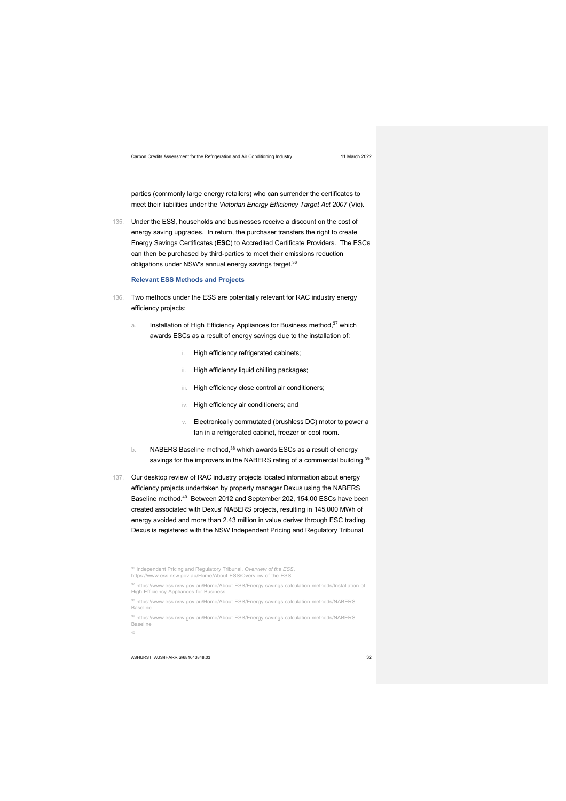parties (commonly large energy retailers) who can surrender the certificates to meet their liabilities under the *Victorian Energy Efficiency Target Act 2007* (Vic).

135. Under the ESS, households and businesses receive a discount on the cost of energy saving upgrades. In return, the purchaser transfers the right to create Energy Savings Certificates (**ESC**) to Accredited Certificate Providers. The ESCs can then be purchased by third-parties to meet their emissions reduction obligations under NSW's annual energy savings target.<sup>36</sup>

### **Relevant ESS Methods and Projects**

- 136. Two methods under the ESS are potentially relevant for RAC industry energy efficiency projects:
	- a. Installation of High Efficiency Appliances for Business method,<sup>37</sup> which awards ESCs as a result of energy savings due to the installation of:
		- i. High efficiency refrigerated cabinets;
		- ii. High efficiency liquid chilling packages;
		- iii. High efficiency close control air conditioners;
		- iv. High efficiency air conditioners; and
		- v. Electronically commutated (brushless DC) motor to power a fan in a refrigerated cabinet, freezer or cool room.
	- $b.$  NABERS Baseline method,  $38$  which awards ESCs as a result of energy savings for the improvers in the NABERS rating of a commercial building.<sup>39</sup>
- 137. Our desktop review of RAC industry projects located information about energy efficiency projects undertaken by property manager Dexus using the NABERS Baseline method.40 Between 2012 and September 202, 154,00 ESCs have been created associated with Dexus' NABERS projects, resulting in 145,000 MWh of energy avoided and more than 2.43 million in value deriver through ESC trading. Dexus is registered with the NSW Independent Pricing and Regulatory Tribunal

<sup>36</sup> Independent Pricing and Regulatory Tribunal, *Overview of the ESS*, https://www.ess.nsw.gov.au/Home/About-ESS/Overview-of-the-ESS. <sup>37</sup> https://www.ess.nsw.gov.au/Home/About-ESS/Energy-savings-calculation-methods/Installation-of-<br>High-Efficiency-Appliances-for-Business <sup>38</sup> https://www.ess.nsw.gov.au/Home/About-ESS/Energy-savings-calculation-methods/NABERS-Baseline <sup>39</sup> https://www.ess.nsw.gov.au/Home/About-ESS/Energy-savings-calculation-methods/NABERS-Baseline 40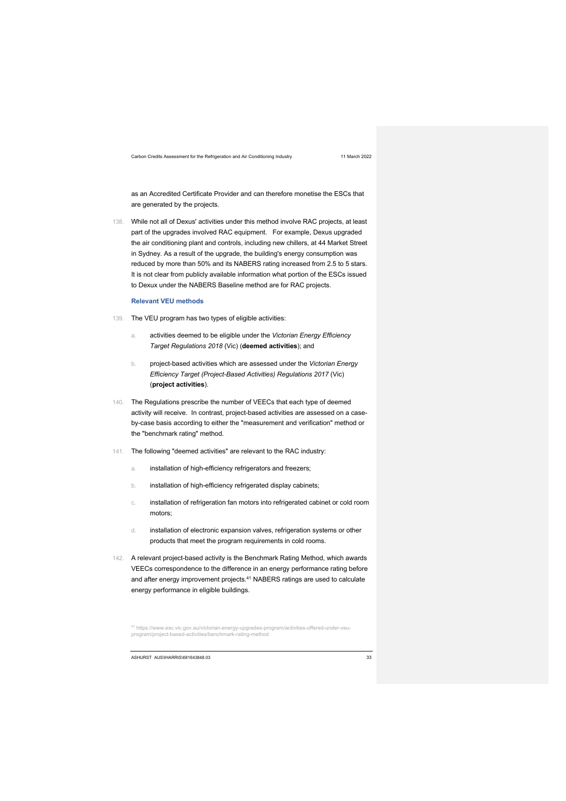as an Accredited Certificate Provider and can therefore monetise the ESCs that are generated by the projects.

138. While not all of Dexus' activities under this method involve RAC projects, at least part of the upgrades involved RAC equipment. For example, Dexus upgraded the air conditioning plant and controls, including new chillers, at 44 Market Street in Sydney. As a result of the upgrade, the building's energy consumption was reduced by more than 50% and its NABERS rating increased from 2.5 to 5 stars. It is not clear from publicly available information what portion of the ESCs issued to Dexux under the NABERS Baseline method are for RAC projects.

### **Relevant VEU methods**

- 139. The VEU program has two types of eligible activities:
	- a. activities deemed to be eligible under the *Victorian Energy Efficiency Target Regulations 2018* (Vic) (**deemed activities**); and
	- b. project-based activities which are assessed under the *Victorian Energy Efficiency Target (Project-Based Activities) Regulations 2017* (Vic) (**project activities**).
- 140. The Regulations prescribe the number of VEECs that each type of deemed activity will receive. In contrast, project-based activities are assessed on a caseby-case basis according to either the "measurement and verification" method or the "benchmark rating" method.
- 141. The following "deemed activities" are relevant to the RAC industry:
	- a. installation of high-efficiency refrigerators and freezers;
	- b. installation of high-efficiency refrigerated display cabinets;
	- c. installation of refrigeration fan motors into refrigerated cabinet or cold room motors;
	- d. installation of electronic expansion valves, refrigeration systems or other products that meet the program requirements in cold rooms.
- 142. A relevant project-based activity is the Benchmark Rating Method, which awards VEECs correspondence to the difference in an energy performance rating before and after energy improvement projects.<sup>41</sup> NABERS ratings are used to calculate energy performance in eligible buildings.

<sup>41</sup> https://www.esc.vic.gov.au/victorian-energy-upgrades-program/activities-offered-under-veuprogram/project-based-activities/benchmark-rating-method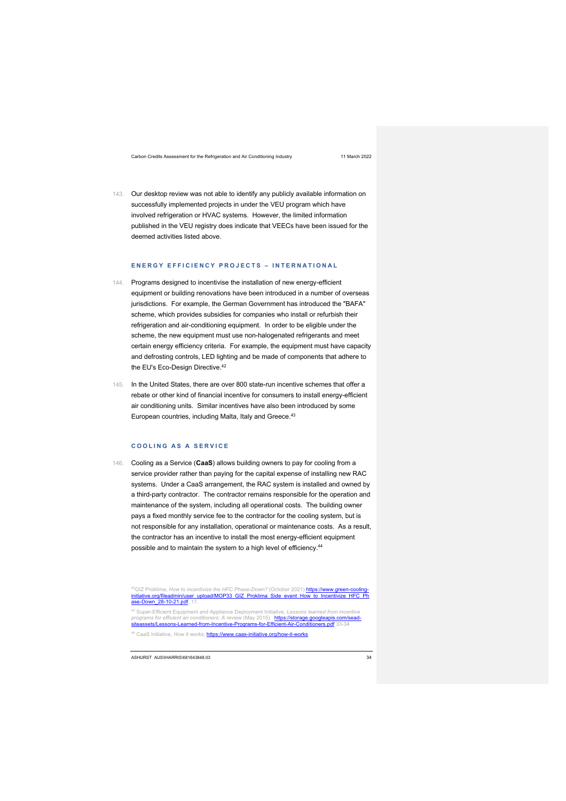143. Our desktop review was not able to identify any publicly available information on successfully implemented projects in under the VEU program which have involved refrigeration or HVAC systems. However, the limited information published in the VEU registry does indicate that VEECs have been issued for the deemed activities listed above.

### **ENERGY EFFICIENCY PROJECTS – INTERNATIONAL**

- 144. Programs designed to incentivise the installation of new energy-efficient equipment or building renovations have been introduced in a number of overseas jurisdictions. For example, the German Government has introduced the "BAFA" scheme, which provides subsidies for companies who install or refurbish their refrigeration and air-conditioning equipment. In order to be eligible under the scheme, the new equipment must use non-halogenated refrigerants and meet certain energy efficiency criteria. For example, the equipment must have capacity and defrosting controls, LED lighting and be made of components that adhere to the EU's Eco-Design Directive.<sup>42</sup>
- 145. In the United States, there are over 800 state-run incentive schemes that offer a rebate or other kind of financial incentive for consumers to install energy-efficient air conditioning units. Similar incentives have also been introduced by some European countries, including Malta, Italy and Greece.<sup>43</sup>

### **COOLING AS A SERVICE**

146. Cooling as a Service (**CaaS**) allows building owners to pay for cooling from a service provider rather than paying for the capital expense of installing new RAC systems. Under a CaaS arrangement, the RAC system is installed and owned by a third-party contractor. The contractor remains responsible for the operation and maintenance of the system, including all operational costs. The building owner pays a fixed monthly service fee to the contractor for the cooling system, but is not responsible for any installation, operational or maintenance costs. As a result, the contractor has an incentive to install the most energy-efficient equipment possible and to maintain the system to a high level of efficiency.<sup>44</sup>

<sup>42</sup>GIZ Proklima, *How to incentivize the HFC Phase-Down?* (October 2021) **<u>https://www.green-cooling-</u>**<br>i<mark>nitiative.org/fileadmin/user\_upload/MOP33\_GIZ\_Proklima\_Side\_event\_How\_to\_Incentivize\_HFC\_Ph</mark> ase-Down\_28-10-21.pdf, 17

<sup>44</sup> CaaS Initiative, *How it works*, https://www.caas-initiative.org/how-it-works.

<sup>&</sup>lt;sup>43</sup> Super-Efficient Equipment and Appliance Deployment Initiative, *Lessons learned from incentive*<br>*programs for efficient air conditioners: A review (Ma*y 2015) https://storage.googleapis.com/seadssets/Lessons-Learned-from-Incentive-Programs-for-Efficient-Air-Conditioners.pdf 33-34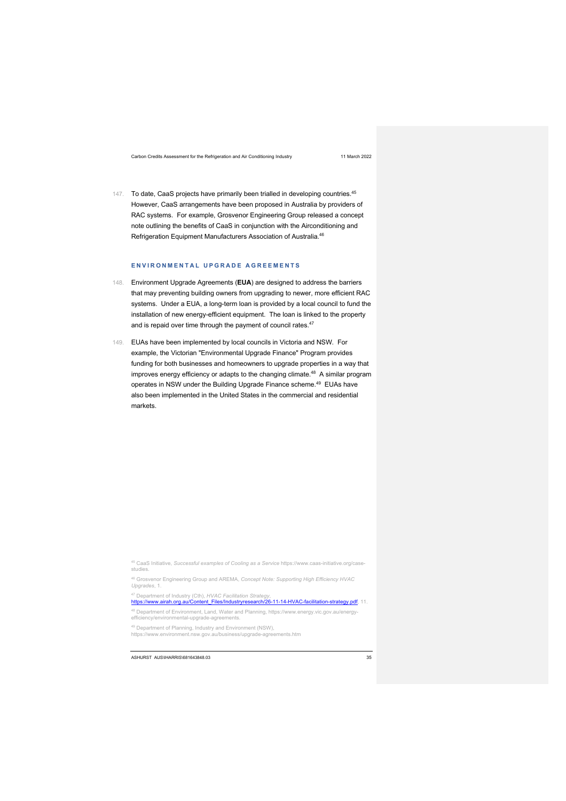147. To date, CaaS projects have primarily been trialled in developing countries.<sup>45</sup> However, CaaS arrangements have been proposed in Australia by providers of RAC systems. For example, Grosvenor Engineering Group released a concept note outlining the benefits of CaaS in conjunction with the Airconditioning and Refrigeration Equipment Manufacturers Association of Australia.46

### **ENVIRONMENTAL UPGRADE AGREEMENTS**

- 148. Environment Upgrade Agreements (**EUA**) are designed to address the barriers that may preventing building owners from upgrading to newer, more efficient RAC systems. Under a EUA, a long-term loan is provided by a local council to fund the installation of new energy-efficient equipment. The loan is linked to the property and is repaid over time through the payment of council rates.<sup>47</sup>
- 149. EUAs have been implemented by local councils in Victoria and NSW. For example, the Victorian "Environmental Upgrade Finance" Program provides funding for both businesses and homeowners to upgrade properties in a way that improves energy efficiency or adapts to the changing climate.<sup>48</sup> A similar program operates in NSW under the Building Upgrade Finance scheme.<sup>49</sup> EUAs have also been implemented in the United States in the commercial and residential markets.

<sup>48</sup> Department of Environment, Land, Water and Planning, https://www.energy.vic.gov.au/energyefficiency/environmental-upgrade-agreements.

https://www.environment.nsw.gov.au/business/upgrade-agreements.htm

<sup>45</sup> CaaS Initiative, *Successful examples of Cooling as a Service* https://www.caas-initiative.org/casestudies.

<sup>46</sup> Grosvenor Engineering Group and AREMA, *Concept Note: Supporting High Efficiency HVAC Upgrades*, 1.

<sup>&</sup>lt;sup>47</sup> Department of Industry (Cth), *HVAC Facilitation Strategy*,<br><u>https://www.airah.org.au/Content\_Files/Industryresearch/26-11-14-HVAC-facilitation-strategy.pdf,</u> 11.

<sup>49</sup> Department of Planning, Industry and Environment (NSW),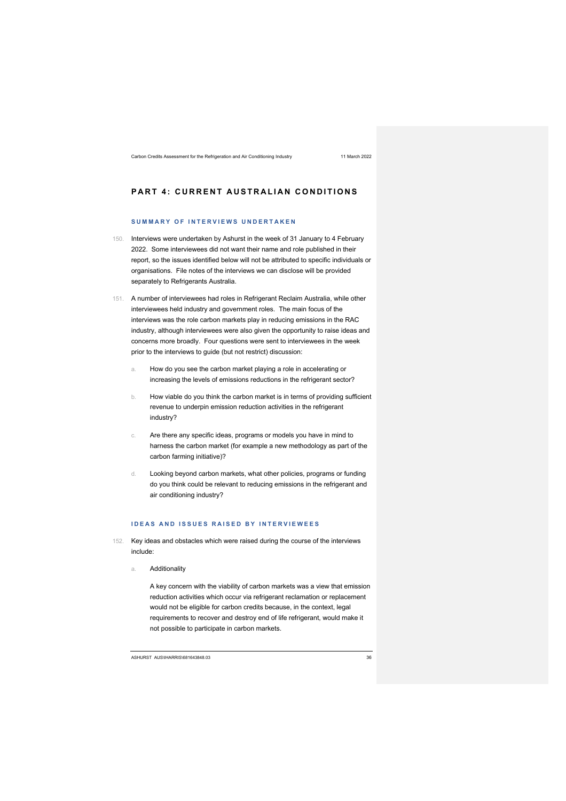# **PART 4: CURRENT AUSTRALIAN CONDITIONS**

### **SUMMARY OF INTERVIEWS UNDERTAKEN**

- 150. Interviews were undertaken by Ashurst in the week of 31 January to 4 February 2022. Some interviewees did not want their name and role published in their report, so the issues identified below will not be attributed to specific individuals or organisations. File notes of the interviews we can disclose will be provided separately to Refrigerants Australia.
- 151. A number of interviewees had roles in Refrigerant Reclaim Australia, while other interviewees held industry and government roles. The main focus of the interviews was the role carbon markets play in reducing emissions in the RAC industry, although interviewees were also given the opportunity to raise ideas and concerns more broadly. Four questions were sent to interviewees in the week prior to the interviews to guide (but not restrict) discussion:
	- a. How do you see the carbon market playing a role in accelerating or increasing the levels of emissions reductions in the refrigerant sector?
	- b. How viable do you think the carbon market is in terms of providing sufficient revenue to underpin emission reduction activities in the refrigerant industry?
	- c. Are there any specific ideas, programs or models you have in mind to harness the carbon market (for example a new methodology as part of the carbon farming initiative)?
	- d. Looking beyond carbon markets, what other policies, programs or funding do you think could be relevant to reducing emissions in the refrigerant and air conditioning industry?

### **IDEAS AND ISSUES RAISED BY INTERVIEWEES**

- 152. Key ideas and obstacles which were raised during the course of the interviews include:
	- a. Additionality

A key concern with the viability of carbon markets was a view that emission reduction activities which occur via refrigerant reclamation or replacement would not be eligible for carbon credits because, in the context, legal requirements to recover and destroy end of life refrigerant, would make it not possible to participate in carbon markets.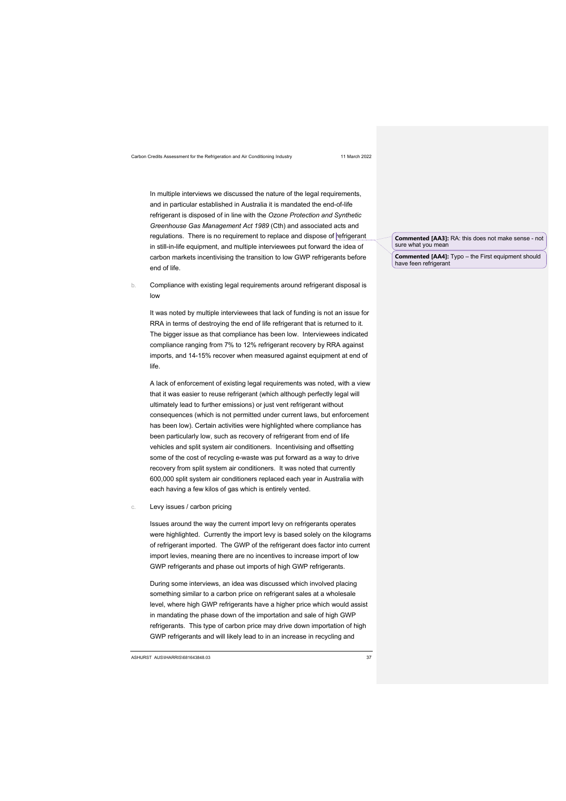In multiple interviews we discussed the nature of the legal requirements, and in particular established in Australia it is mandated the end-of-life refrigerant is disposed of in line with the *Ozone Protection and Synthetic Greenhouse Gas Management Act 1989* (Cth) and associated acts and regulations. There is no requirement to replace and dispose of refrigerant in still-in-life equipment, and multiple interviewees put forward the idea of carbon markets incentivising the transition to low GWP refrigerants before end of life.

b. Compliance with existing legal requirements around refrigerant disposal is low

It was noted by multiple interviewees that lack of funding is not an issue for RRA in terms of destroying the end of life refrigerant that is returned to it. The bigger issue as that compliance has been low. Interviewees indicated compliance ranging from 7% to 12% refrigerant recovery by RRA against imports, and 14-15% recover when measured against equipment at end of life.

A lack of enforcement of existing legal requirements was noted, with a view that it was easier to reuse refrigerant (which although perfectly legal will ultimately lead to further emissions) or just vent refrigerant without consequences (which is not permitted under current laws, but enforcement has been low). Certain activities were highlighted where compliance has been particularly low, such as recovery of refrigerant from end of life vehicles and split system air conditioners. Incentivising and offsetting some of the cost of recycling e-waste was put forward as a way to drive recovery from split system air conditioners. It was noted that currently 600,000 split system air conditioners replaced each year in Australia with each having a few kilos of gas which is entirely vented.

c. Levy issues / carbon pricing

Issues around the way the current import levy on refrigerants operates were highlighted. Currently the import levy is based solely on the kilograms of refrigerant imported. The GWP of the refrigerant does factor into current import levies, meaning there are no incentives to increase import of low GWP refrigerants and phase out imports of high GWP refrigerants.

During some interviews, an idea was discussed which involved placing something similar to a carbon price on refrigerant sales at a wholesale level, where high GWP refrigerants have a higher price which would assist in mandating the phase down of the importation and sale of high GWP refrigerants. This type of carbon price may drive down importation of high GWP refrigerants and will likely lead to in an increase in recycling and

ASHURST AUS\IHARRIS\681643848.03 37

### **Commented [AA3]:** RA: this does not make sense - not sure what you mean

**Commented [AA4]:** Typo – the First equipment should have feen refrigerant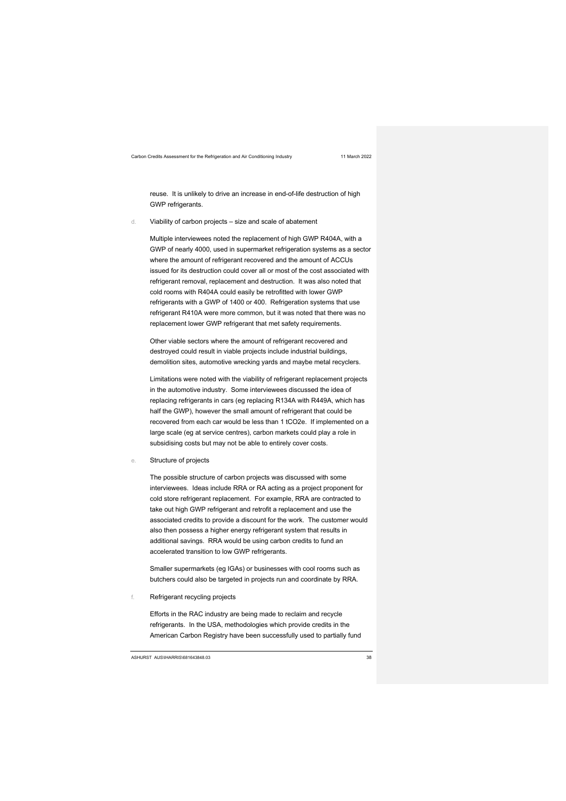reuse. It is unlikely to drive an increase in end-of-life destruction of high GWP refrigerants.

d. Viability of carbon projects – size and scale of abatement

Multiple interviewees noted the replacement of high GWP R404A, with a GWP of nearly 4000, used in supermarket refrigeration systems as a sector where the amount of refrigerant recovered and the amount of ACCUs issued for its destruction could cover all or most of the cost associated with refrigerant removal, replacement and destruction. It was also noted that cold rooms with R404A could easily be retrofitted with lower GWP refrigerants with a GWP of 1400 or 400. Refrigeration systems that use refrigerant R410A were more common, but it was noted that there was no replacement lower GWP refrigerant that met safety requirements.

Other viable sectors where the amount of refrigerant recovered and destroyed could result in viable projects include industrial buildings, demolition sites, automotive wrecking yards and maybe metal recyclers.

Limitations were noted with the viability of refrigerant replacement projects in the automotive industry. Some interviewees discussed the idea of replacing refrigerants in cars (eg replacing R134A with R449A, which has half the GWP), however the small amount of refrigerant that could be recovered from each car would be less than 1 tCO2e. If implemented on a large scale (eg at service centres), carbon markets could play a role in subsidising costs but may not be able to entirely cover costs.

e. Structure of projects

The possible structure of carbon projects was discussed with some interviewees. Ideas include RRA or RA acting as a project proponent for cold store refrigerant replacement. For example, RRA are contracted to take out high GWP refrigerant and retrofit a replacement and use the associated credits to provide a discount for the work. The customer would also then possess a higher energy refrigerant system that results in additional savings. RRA would be using carbon credits to fund an accelerated transition to low GWP refrigerants.

Smaller supermarkets (eg IGAs) or businesses with cool rooms such as butchers could also be targeted in projects run and coordinate by RRA.

f. Refrigerant recycling projects

Efforts in the RAC industry are being made to reclaim and recycle refrigerants. In the USA, methodologies which provide credits in the American Carbon Registry have been successfully used to partially fund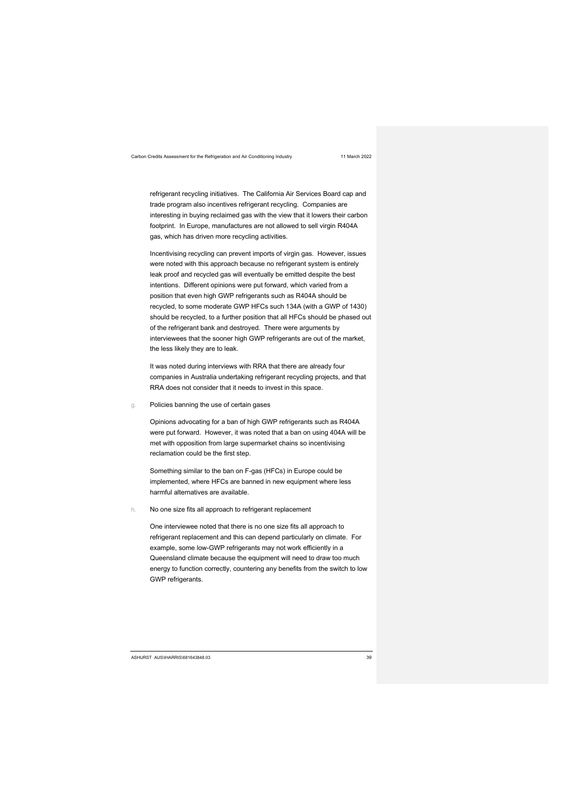refrigerant recycling initiatives. The California Air Services Board cap and trade program also incentives refrigerant recycling. Companies are interesting in buying reclaimed gas with the view that it lowers their carbon footprint. In Europe, manufactures are not allowed to sell virgin R404A gas, which has driven more recycling activities.

Incentivising recycling can prevent imports of virgin gas. However, issues were noted with this approach because no refrigerant system is entirely leak proof and recycled gas will eventually be emitted despite the best intentions. Different opinions were put forward, which varied from a position that even high GWP refrigerants such as R404A should be recycled, to some moderate GWP HFCs such 134A (with a GWP of 1430) should be recycled, to a further position that all HFCs should be phased out of the refrigerant bank and destroyed. There were arguments by interviewees that the sooner high GWP refrigerants are out of the market, the less likely they are to leak.

It was noted during interviews with RRA that there are already four companies in Australia undertaking refrigerant recycling projects, and that RRA does not consider that it needs to invest in this space.

g. Policies banning the use of certain gases

Opinions advocating for a ban of high GWP refrigerants such as R404A were put forward. However, it was noted that a ban on using 404A will be met with opposition from large supermarket chains so incentivising reclamation could be the first step.

Something similar to the ban on F-gas (HFCs) in Europe could be implemented, where HFCs are banned in new equipment where less harmful alternatives are available.

h. No one size fits all approach to refrigerant replacement

One interviewee noted that there is no one size fits all approach to refrigerant replacement and this can depend particularly on climate. For example, some low-GWP refrigerants may not work efficiently in a Queensland climate because the equipment will need to draw too much energy to function correctly, countering any benefits from the switch to low GWP refrigerants.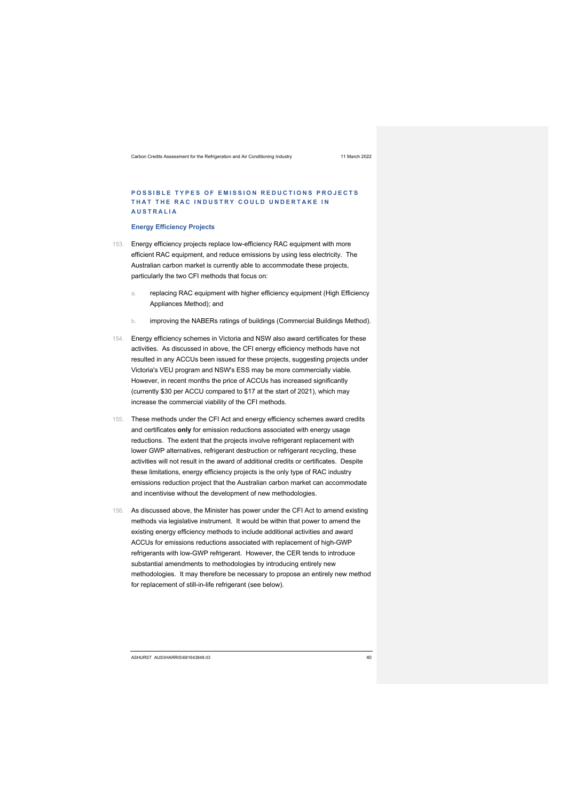### **POSSIBLE TYPES OF EMISSION REDUCTIONS PROJECTS THAT THE RAC INDUSTRY COULD UNDERTAKE IN AUSTRALIA**

### **Energy Efficiency Projects**

- 153. Energy efficiency projects replace low-efficiency RAC equipment with more efficient RAC equipment, and reduce emissions by using less electricity. The Australian carbon market is currently able to accommodate these projects, particularly the two CFI methods that focus on:
	- a. replacing RAC equipment with higher efficiency equipment (High Efficiency Appliances Method); and
	- b. improving the NABERs ratings of buildings (Commercial Buildings Method).
- 154. Energy efficiency schemes in Victoria and NSW also award certificates for these activities. As discussed in above, the CFI energy efficiency methods have not resulted in any ACCUs been issued for these projects, suggesting projects under Victoria's VEU program and NSW's ESS may be more commercially viable. However, in recent months the price of ACCUs has increased significantly (currently \$30 per ACCU compared to \$17 at the start of 2021), which may increase the commercial viability of the CFI methods.
- 155. These methods under the CFI Act and energy efficiency schemes award credits and certificates **only** for emission reductions associated with energy usage reductions. The extent that the projects involve refrigerant replacement with lower GWP alternatives, refrigerant destruction or refrigerant recycling, these activities will not result in the award of additional credits or certificates. Despite these limitations, energy efficiency projects is the only type of RAC industry emissions reduction project that the Australian carbon market can accommodate and incentivise without the development of new methodologies.
- 156. As discussed above, the Minister has power under the CFI Act to amend existing methods via legislative instrument. It would be within that power to amend the existing energy efficiency methods to include additional activities and award ACCUs for emissions reductions associated with replacement of high-GWP refrigerants with low-GWP refrigerant. However, the CER tends to introduce substantial amendments to methodologies by introducing entirely new methodologies. It may therefore be necessary to propose an entirely new method for replacement of still-in-life refrigerant (see below).

ASHURST AUS\IHARRIS\681643848.03 40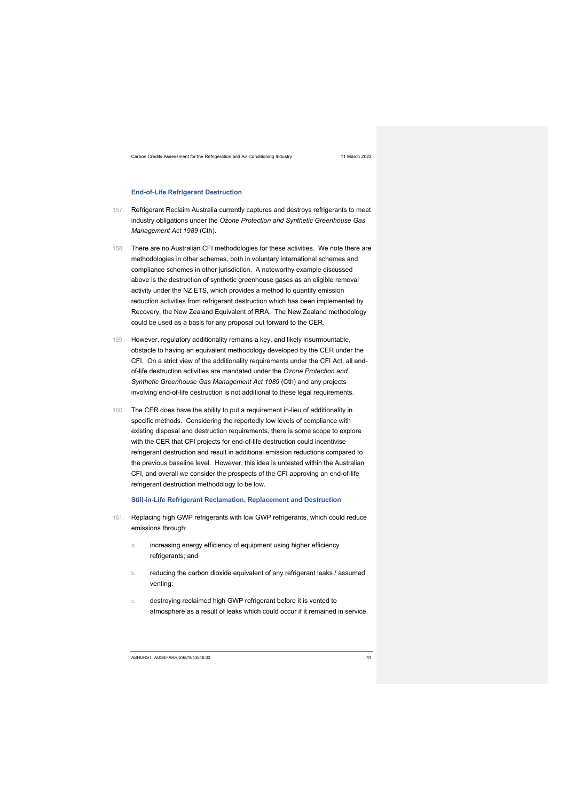### **End-of-Life Refrigerant Destruction**

- 157. Refrigerant Reclaim Australia currently captures and destroys refrigerants to meet industry obligations under the *Ozone Protection and Synthetic Greenhouse Gas Management Act 1989* (Cth).
- 158. There are no Australian CFI methodologies for these activities. We note there are methodologies in other schemes, both in voluntary international schemes and compliance schemes in other jurisdiction. A noteworthy example discussed above is the destruction of synthetic greenhouse gases as an eligible removal activity under the NZ ETS, which provides a method to quantify emission reduction activities from refrigerant destruction which has been implemented by Recovery, the New Zealand Equivalent of RRA. The New Zealand methodology could be used as a basis for any proposal put forward to the CER.
- 159. However, regulatory additionality remains a key, and likely insurmountable, obstacle to having an equivalent methodology developed by the CER under the CFI. On a strict view of the additionality requirements under the CFI Act, all endof-life destruction activities are mandated under the *Ozone Protection and Synthetic Greenhouse Gas Management Act 1989* (Cth) and any projects involving end-of-life destruction is not additional to these legal requirements.
- 160. The CER does have the ability to put a requirement in-lieu of additionality in specific methods. Considering the reportedly low levels of compliance with existing disposal and destruction requirements, there is some scope to explore with the CER that CFI projects for end-of-life destruction could incentivise refrigerant destruction and result in additional emission reductions compared to the previous baseline level. However, this idea is untested within the Australian CFI, and overall we consider the prospects of the CFI approving an end-of-life refrigerant destruction methodology to be low.

### **Still-in-Life Refrigerant Reclamation, Replacement and Destruction**

- 161. Replacing high GWP refrigerants with low GWP refrigerants, which could reduce emissions through:
	- a. increasing energy efficiency of equipment using higher efficiency refrigerants; and
	- b. reducing the carbon dioxide equivalent of any refrigerant leaks / assumed venting;
	- c. destroying reclaimed high GWP refrigerant before it is vented to atmosphere as a result of leaks which could occur if it remained in service.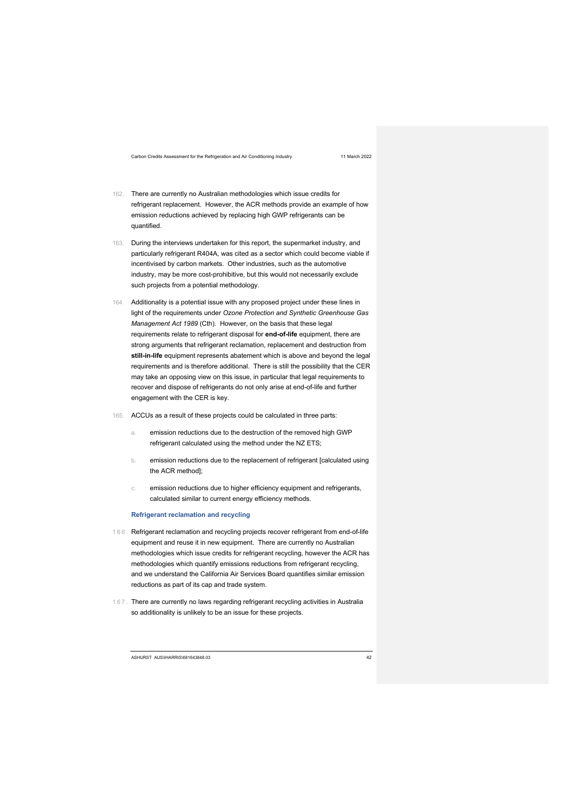- 162. There are currently no Australian methodologies which issue credits for refrigerant replacement. However, the ACR methods provide an example of how emission reductions achieved by replacing high GWP refrigerants can be quantified.
- 163. During the interviews undertaken for this report, the supermarket industry, and particularly refrigerant R404A, was cited as a sector which could become viable if incentivised by carbon markets. Other industries, such as the automotive industry, may be more cost-prohibitive, but this would not necessarily exclude such projects from a potential methodology.
- 164. Additionality is a potential issue with any proposed project under these lines in light of the requirements under *Ozone Protection and Synthetic Greenhouse Gas Management Act 1989* (Cth). However, on the basis that these legal requirements relate to refrigerant disposal for **end-of-life** equipment, there are strong arguments that refrigerant reclamation, replacement and destruction from **still-in-life** equipment represents abatement which is above and beyond the legal requirements and is therefore additional. There is still the possibility that the CER may take an opposing view on this issue, in particular that legal requirements to recover and dispose of refrigerants do not only arise at end-of-life and further engagement with the CER is key.
- 165. ACCUs as a result of these projects could be calculated in three parts:
	- a. emission reductions due to the destruction of the removed high GWP refrigerant calculated using the method under the NZ ETS;
	- b. emission reductions due to the replacement of refrigerant [calculated using the ACR method];
	- emission reductions due to higher efficiency equipment and refrigerants, calculated similar to current energy efficiency methods.

### **Refrigerant reclamation and recycling**

- 166. Refrigerant reclamation and recycling projects recover refrigerant from end-of-life equipment and reuse it in new equipment. There are currently no Australian methodologies which issue credits for refrigerant recycling, however the ACR has methodologies which quantify emissions reductions from refrigerant recycling, and we understand the California Air Services Board quantifies similar emission reductions as part of its cap and trade system.
- 167. There are currently no laws regarding refrigerant recycling activities in Australia so additionality is unlikely to be an issue for these projects.

ASHURST AUS\IHARRIS\681643848.03 42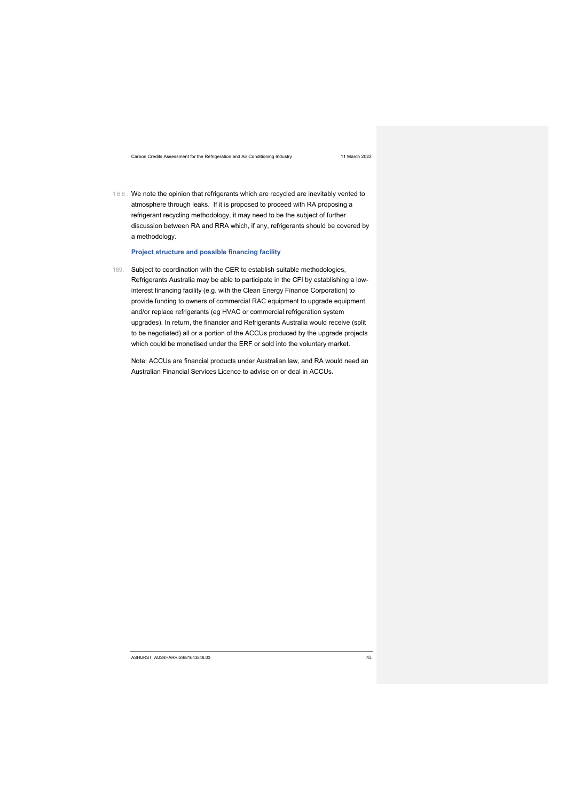168. We note the opinion that refrigerants which are recycled are inevitably vented to atmosphere through leaks. If it is proposed to proceed with RA proposing a refrigerant recycling methodology, it may need to be the subject of further discussion between RA and RRA which, if any, refrigerants should be covered by a methodology.

### **Project structure and possible financing facility**

169. Subject to coordination with the CER to establish suitable methodologies, Refrigerants Australia may be able to participate in the CFI by establishing a lowinterest financing facility (e.g. with the Clean Energy Finance Corporation) to provide funding to owners of commercial RAC equipment to upgrade equipment and/or replace refrigerants (eg HVAC or commercial refrigeration system upgrades). In return, the financier and Refrigerants Australia would receive (split to be negotiated) all or a portion of the ACCUs produced by the upgrade projects which could be monetised under the ERF or sold into the voluntary market.

Note: ACCUs are financial products under Australian law, and RA would need an Australian Financial Services Licence to advise on or deal in ACCUs.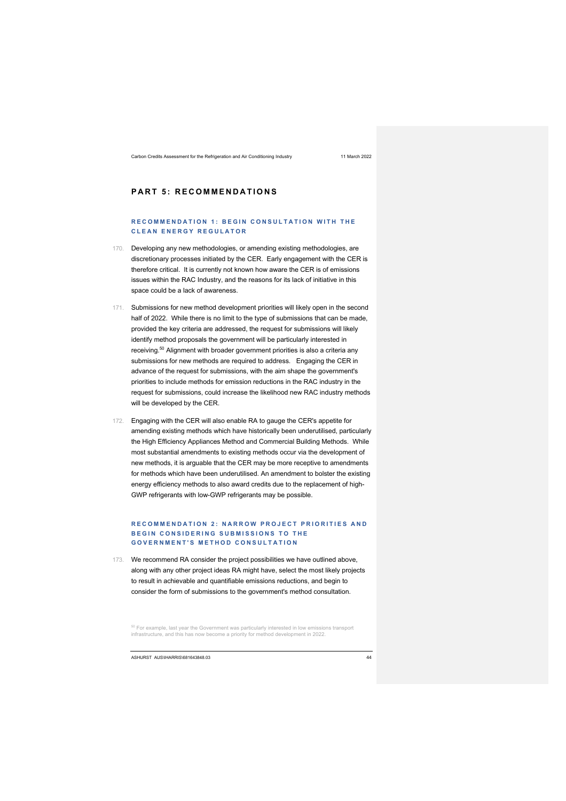# **PART 5: RECOMMENDATIONS**

### **RECOMMENDATION 1: BEGIN CONSULTATION WITH THE CLEAN ENERGY REGULATOR**

- 170. Developing any new methodologies, or amending existing methodologies, are discretionary processes initiated by the CER. Early engagement with the CER is therefore critical. It is currently not known how aware the CER is of emissions issues within the RAC Industry, and the reasons for its lack of initiative in this space could be a lack of awareness.
- 171. Submissions for new method development priorities will likely open in the second half of 2022. While there is no limit to the type of submissions that can be made, provided the key criteria are addressed, the request for submissions will likely identify method proposals the government will be particularly interested in receiving.50 Alignment with broader government priorities is also a criteria any submissions for new methods are required to address. Engaging the CER in advance of the request for submissions, with the aim shape the government's priorities to include methods for emission reductions in the RAC industry in the request for submissions, could increase the likelihood new RAC industry methods will be developed by the CER.
- 172. Engaging with the CER will also enable RA to gauge the CER's appetite for amending existing methods which have historically been underutilised, particularly the High Efficiency Appliances Method and Commercial Building Methods. While most substantial amendments to existing methods occur via the development of new methods, it is arguable that the CER may be more receptive to amendments for methods which have been underutilised. An amendment to bolster the existing energy efficiency methods to also award credits due to the replacement of high-GWP refrigerants with low-GWP refrigerants may be possible.

### **RECOMMENDATION 2: NARROW PROJECT PRIORITIES AND BEGIN CONSIDERING SUBMISSIONS TO THE GOVERNMENT'S METHOD CONSULTATION**

173. We recommend RA consider the project possibilities we have outlined above, along with any other project ideas RA might have, select the most likely projects to result in achievable and quantifiable emissions reductions, and begin to consider the form of submissions to the government's method consultation.

<sup>50</sup> For example, last year the Government was particularly interested in low emissions transport infrastructure, and this has now become a priority for method development in 2022.